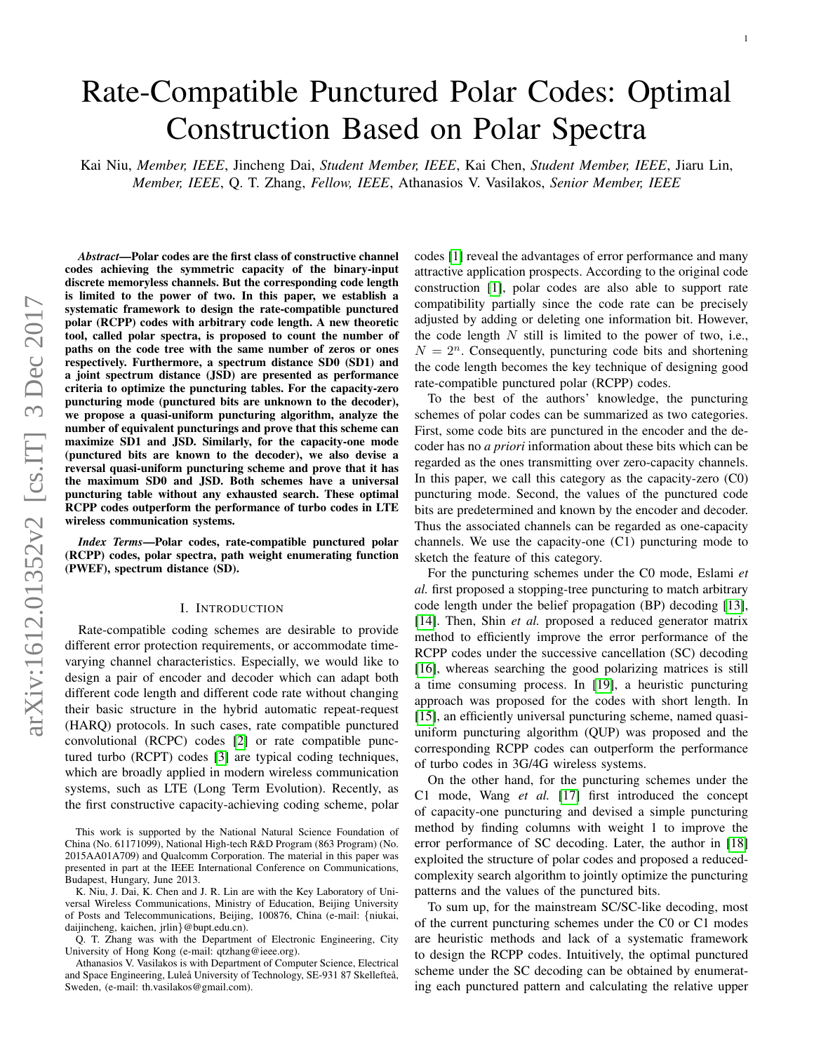# Rate-Compatible Punctured Polar Codes: Optimal Construction Based on Polar Spectra

Kai Niu, *Member, IEEE*, Jincheng Dai, *Student Member, IEEE*, Kai Chen, *Student Member, IEEE*, Jiaru Lin, *Member, IEEE*, Q. T. Zhang, *Fellow, IEEE*, Athanasios V. Vasilakos, *Senior Member, IEEE*

*Abstract*—Polar codes are the first class of constructive channel codes achieving the symmetric capacity of the binary-input discrete memoryless channels. But the corresponding code length is limited to the power of two. In this paper, we establish a systematic framework to design the rate-compatible punctured polar (RCPP) codes with arbitrary code length. A new theoretic tool, called polar spectra, is proposed to count the number of paths on the code tree with the same number of zeros or ones respectively. Furthermore, a spectrum distance SD0 (SD1) and a joint spectrum distance (JSD) are presented as performance criteria to optimize the puncturing tables. For the capacity-zero puncturing mode (punctured bits are unknown to the decoder), we propose a quasi-uniform puncturing algorithm, analyze the number of equivalent puncturings and prove that this scheme can maximize SD1 and JSD. Similarly, for the capacity-one mode (punctured bits are known to the decoder), we also devise a reversal quasi-uniform puncturing scheme and prove that it has the maximum SD0 and JSD. Both schemes have a universal puncturing table without any exhausted search. These optimal RCPP codes outperform the performance of turbo codes in LTE wireless communication systems.

*Index Terms*—Polar codes, rate-compatible punctured polar (RCPP) codes, polar spectra, path weight enumerating function (PWEF), spectrum distance (SD).

## I. INTRODUCTION

Rate-compatible coding schemes are desirable to provide different error protection requirements, or accommodate timevarying channel characteristics. Especially, we would like to design a pair of encoder and decoder which can adapt both different code length and different code rate without changing their basic structure in the hybrid automatic repeat-request (HARQ) protocols. In such cases, rate compatible punctured convolutional (RCPC) codes [\[2\]](#page-14-0) or rate compatible punctured turbo (RCPT) codes [\[3\]](#page-14-1) are typical coding techniques, which are broadly applied in modern wireless communication systems, such as LTE (Long Term Evolution). Recently, as the first constructive capacity-achieving coding scheme, polar

This work is supported by the National Natural Science Foundation of China (No. 61171099), National High-tech R&D Program (863 Program) (No. 2015AA01A709) and Qualcomm Corporation. The material in this paper was presented in part at the IEEE International Conference on Communications, Budapest, Hungary, June 2013.

K. Niu, J. Dai, K. Chen and J. R. Lin are with the Key Laboratory of Universal Wireless Communications, Ministry of Education, Beijing University of Posts and Telecommunications, Beijing, 100876, China (e-mail: {niukai, daijincheng, kaichen, jrlin}@bupt.edu.cn).

Q. T. Zhang was with the Department of Electronic Engineering, City University of Hong Kong (e-mail: qtzhang@ieee.org).

Athanasios V. Vasilakos is with Department of Computer Science, Electrical and Space Engineering, Luleå University of Technology, SE-931 87 Skellefteå, Sweden, (e-mail: th.vasilakos@gmail.com).

codes [\[1\]](#page-14-2) reveal the advantages of error performance and many attractive application prospects. According to the original code construction [\[1\]](#page-14-2), polar codes are also able to support rate compatibility partially since the code rate can be precisely adjusted by adding or deleting one information bit. However, the code length  $N$  still is limited to the power of two, i.e.,  $N = 2<sup>n</sup>$ . Consequently, puncturing code bits and shortening the code length becomes the key technique of designing good rate-compatible punctured polar (RCPP) codes.

To the best of the authors' knowledge, the puncturing schemes of polar codes can be summarized as two categories. First, some code bits are punctured in the encoder and the decoder has no *a priori* information about these bits which can be regarded as the ones transmitting over zero-capacity channels. In this paper, we call this category as the capacity-zero (C0) puncturing mode. Second, the values of the punctured code bits are predetermined and known by the encoder and decoder. Thus the associated channels can be regarded as one-capacity channels. We use the capacity-one (C1) puncturing mode to sketch the feature of this category.

For the puncturing schemes under the C0 mode, Eslami *et al.* first proposed a stopping-tree puncturing to match arbitrary code length under the belief propagation (BP) decoding [\[13\]](#page-14-3), [\[14\]](#page-14-4). Then, Shin *et al.* proposed a reduced generator matrix method to efficiently improve the error performance of the RCPP codes under the successive cancellation (SC) decoding [\[16\]](#page-14-5), whereas searching the good polarizing matrices is still a time consuming process. In [\[19\]](#page-14-6), a heuristic puncturing approach was proposed for the codes with short length. In [\[15\]](#page-14-7), an efficiently universal puncturing scheme, named quasiuniform puncturing algorithm (QUP) was proposed and the corresponding RCPP codes can outperform the performance of turbo codes in 3G/4G wireless systems.

On the other hand, for the puncturing schemes under the C1 mode, Wang *et al.* [\[17\]](#page-14-8) first introduced the concept of capacity-one puncturing and devised a simple puncturing method by finding columns with weight 1 to improve the error performance of SC decoding. Later, the author in [\[18\]](#page-14-9) exploited the structure of polar codes and proposed a reducedcomplexity search algorithm to jointly optimize the puncturing patterns and the values of the punctured bits.

To sum up, for the mainstream SC/SC-like decoding, most of the current puncturing schemes under the C0 or C1 modes are heuristic methods and lack of a systematic framework to design the RCPP codes. Intuitively, the optimal punctured scheme under the SC decoding can be obtained by enumerating each punctured pattern and calculating the relative upper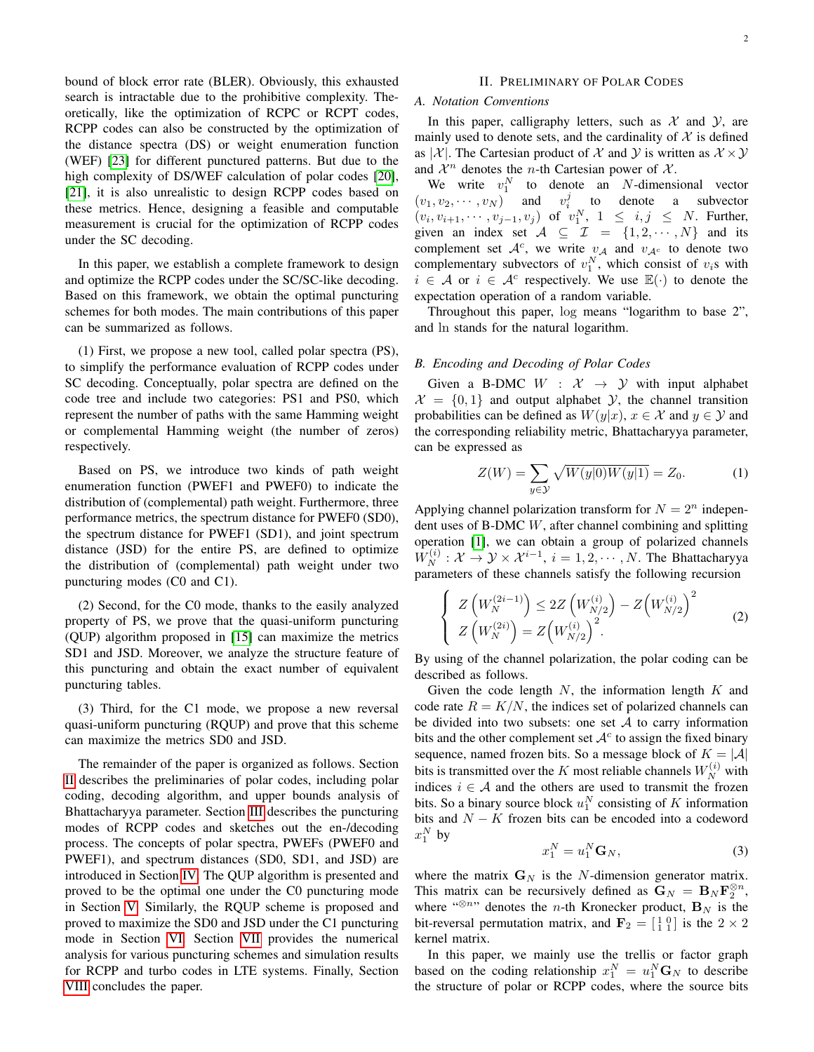bound of block error rate (BLER). Obviously, this exhausted search is intractable due to the prohibitive complexity. Theoretically, like the optimization of RCPC or RCPT codes, RCPP codes can also be constructed by the optimization of the distance spectra (DS) or weight enumeration function (WEF) [\[23\]](#page-14-10) for different punctured patterns. But due to the high complexity of DS/WEF calculation of polar codes [\[20\]](#page-14-11), [\[21\]](#page-14-12), it is also unrealistic to design RCPP codes based on these metrics. Hence, designing a feasible and computable measurement is crucial for the optimization of RCPP codes under the SC decoding.

In this paper, we establish a complete framework to design and optimize the RCPP codes under the SC/SC-like decoding. Based on this framework, we obtain the optimal puncturing schemes for both modes. The main contributions of this paper can be summarized as follows.

(1) First, we propose a new tool, called polar spectra (PS), to simplify the performance evaluation of RCPP codes under SC decoding. Conceptually, polar spectra are defined on the code tree and include two categories: PS1 and PS0, which represent the number of paths with the same Hamming weight or complemental Hamming weight (the number of zeros) respectively.

Based on PS, we introduce two kinds of path weight enumeration function (PWEF1 and PWEF0) to indicate the distribution of (complemental) path weight. Furthermore, three performance metrics, the spectrum distance for PWEF0 (SD0), the spectrum distance for PWEF1 (SD1), and joint spectrum distance (JSD) for the entire PS, are defined to optimize the distribution of (complemental) path weight under two puncturing modes (C0 and C1).

(2) Second, for the C0 mode, thanks to the easily analyzed property of PS, we prove that the quasi-uniform puncturing (QUP) algorithm proposed in [\[15\]](#page-14-7) can maximize the metrics SD1 and JSD. Moreover, we analyze the structure feature of this puncturing and obtain the exact number of equivalent puncturing tables.

(3) Third, for the C1 mode, we propose a new reversal quasi-uniform puncturing (RQUP) and prove that this scheme can maximize the metrics SD0 and JSD.

The remainder of the paper is organized as follows. Section [II](#page-1-0) describes the preliminaries of polar codes, including polar coding, decoding algorithm, and upper bounds analysis of Bhattacharyya parameter. Section [III](#page-2-0) describes the puncturing modes of RCPP codes and sketches out the en-/decoding process. The concepts of polar spectra, PWEFs (PWEF0 and PWEF1), and spectrum distances (SD0, SD1, and JSD) are introduced in Section [IV.](#page-4-0) The QUP algorithm is presented and proved to be the optimal one under the C0 puncturing mode in Section [V.](#page-6-0) Similarly, the RQUP scheme is proposed and proved to maximize the SD0 and JSD under the C1 puncturing mode in Section [VI.](#page-9-0) Section [VII](#page-11-0) provides the numerical analysis for various puncturing schemes and simulation results for RCPP and turbo codes in LTE systems. Finally, Section [VIII](#page-12-0) concludes the paper.

# II. PRELIMINARY OF POLAR CODES

# <span id="page-1-0"></span>*A. Notation Conventions*

In this paper, calligraphy letters, such as  $X$  and  $Y$ , are mainly used to denote sets, and the cardinality of  $X$  is defined as |  $\mathcal{X}$ |. The Cartesian product of  $\mathcal{X}$  and  $\mathcal{Y}$  is written as  $\mathcal{X} \times \mathcal{Y}$ and  $\mathcal{X}^n$  denotes the *n*-th Cartesian power of  $\mathcal{X}$ .

We write  $v_1^N$  to denote an N-dimensional vector  $(v_1, v_2, \dots, v_N)$  and  $v_i^j$  to denote a subvector  $(v_i, v_{i+1}, \dots, v_{j-1}, v_j)$  of  $v_1^N$ ,  $1 \le i, j \le N$ . Further, given an index set  $A \subseteq \mathcal{I} = \{1, 2, \cdots, N\}$  and its complement set  $A^c$ , we write  $v_A$  and  $v_{A^c}$  to denote two complementary subvectors of  $v_1^N$ , which consist of  $v_i$ s with  $i \in \mathcal{A}$  or  $i \in \mathcal{A}^c$  respectively. We use  $\mathbb{E}(\cdot)$  to denote the expectation operation of a random variable.

Throughout this paper, log means "logarithm to base 2", and ln stands for the natural logarithm.

# *B. Encoding and Decoding of Polar Codes*

Given a B-DMC  $W : \mathcal{X} \rightarrow \mathcal{Y}$  with input alphabet  $\mathcal{X} = \{0, 1\}$  and output alphabet  $\mathcal{Y}$ , the channel transition probabilities can be defined as  $W(y|x)$ ,  $x \in \mathcal{X}$  and  $y \in \mathcal{Y}$  and the corresponding reliability metric, Bhattacharyya parameter, can be expressed as

$$
Z(W) = \sum_{y \in \mathcal{Y}} \sqrt{W(y|0)W(y|1)} = Z_0.
$$
 (1)

Applying channel polarization transform for  $N = 2<sup>n</sup>$  independent uses of B-DMC W, after channel combining and splitting operation [\[1\]](#page-14-2), we can obtain a group of polarized channels  $W_N^{(i)}: \mathcal{X} \to \mathcal{Y} \times \mathcal{X}^{i-1}, i = 1, 2, \cdots, N$ . The Bhattacharyya parameters of these channels satisfy the following recursion

$$
\begin{cases}\nZ\left(W_N^{(2i-1)}\right) \le 2Z\left(W_{N/2}^{(i)}\right) - Z\left(W_{N/2}^{(i)}\right)^2 \\
Z\left(W_N^{(2i)}\right) = Z\left(W_{N/2}^{(i)}\right)^2.\n\end{cases} \tag{2}
$$

By using of the channel polarization, the polar coding can be described as follows.

Given the code length  $N$ , the information length  $K$  and code rate  $R = K/N$ , the indices set of polarized channels can be divided into two subsets: one set  $A$  to carry information bits and the other complement set  $A<sup>c</sup>$  to assign the fixed binary sequence, named frozen bits. So a message block of  $K = |A|$ bits is transmitted over the K most reliable channels  $W_N^{(i)}$  with indices  $i \in A$  and the others are used to transmit the frozen bits. So a binary source block  $u_1^N$  consisting of K information bits and  $N - K$  frozen bits can be encoded into a codeword  $x_1^N$  by

<span id="page-1-1"></span>
$$
x_1^N = u_1^N \mathbf{G}_N,\tag{3}
$$

where the matrix  $G_N$  is the N-dimension generator matrix. This matrix can be recursively defined as  $\mathbf{G}_N = \mathbf{B}_N \mathbf{F}_2^{\otimes n}$ , where "<sup>⊗n</sup>" denotes the *n*-th Kronecker product,  $B_N$  is the bit-reversal permutation matrix, and  $\mathbf{F}_2 = \begin{bmatrix} 1 & 0 \\ 1 & 1 \end{bmatrix}$  is the  $2 \times 2$ kernel matrix.

In this paper, we mainly use the trellis or factor graph based on the coding relationship  $x_1^N = u_1^N \mathbf{G}_N$  to describe the structure of polar or RCPP codes, where the source bits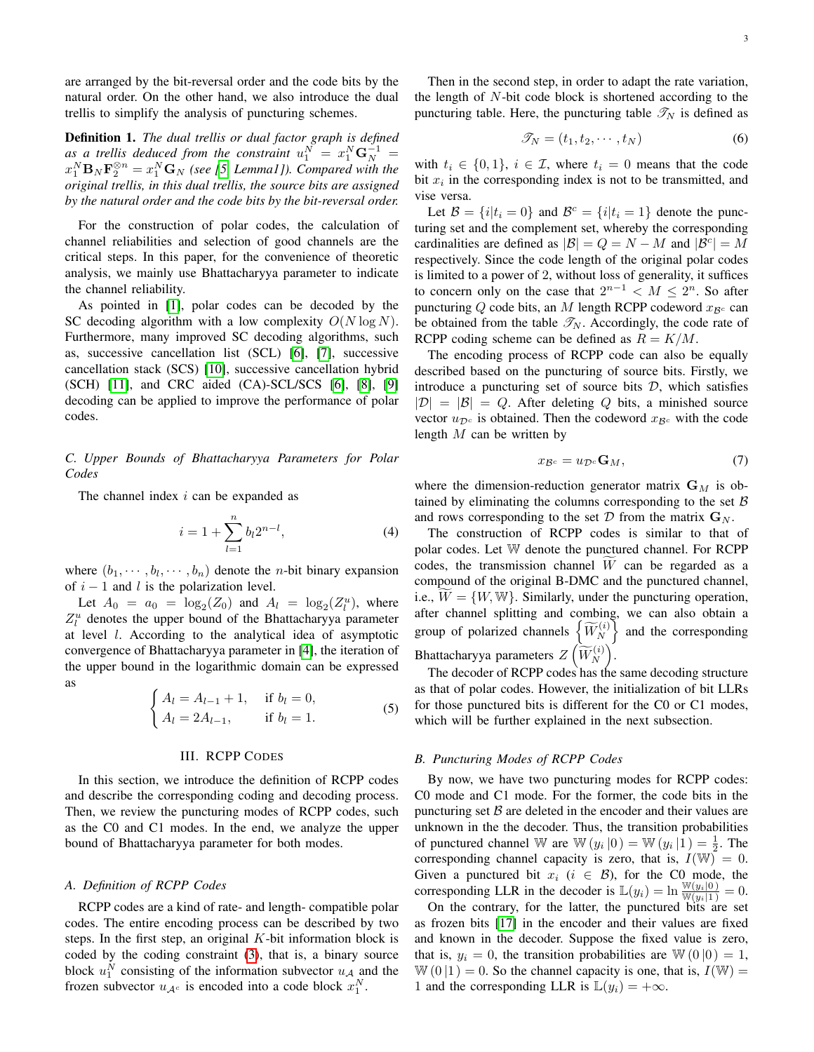are arranged by the bit-reversal order and the code bits by the natural order. On the other hand, we also introduce the dual trellis to simplify the analysis of puncturing schemes.

Definition 1. *The dual trellis or dual factor graph is defined* as a trellis deduced from the constraint  $u_1^N = x_1^N \mathbf{G}_N^{-1} =$  $x_1^N$ **B**<sub>N</sub>**F** $_2^{\otimes n}$  =  $x_1^N$ **G**<sub>N</sub> (see [\[5,](#page-14-13) Lemma1]). Compared with the *original trellis, in this dual trellis, the source bits are assigned by the natural order and the code bits by the bit-reversal order.*

For the construction of polar codes, the calculation of channel reliabilities and selection of good channels are the critical steps. In this paper, for the convenience of theoretic analysis, we mainly use Bhattacharyya parameter to indicate the channel reliability.

As pointed in [\[1\]](#page-14-2), polar codes can be decoded by the SC decoding algorithm with a low complexity  $O(N \log N)$ . Furthermore, many improved SC decoding algorithms, such as, successive cancellation list (SCL) [\[6\]](#page-14-14), [\[7\]](#page-14-15), successive cancellation stack (SCS) [\[10\]](#page-14-16), successive cancellation hybrid (SCH) [\[11\]](#page-14-17), and CRC aided (CA)-SCL/SCS [\[6\]](#page-14-14), [\[8\]](#page-14-18), [\[9\]](#page-14-19) decoding can be applied to improve the performance of polar codes.

# *C. Upper Bounds of Bhattacharyya Parameters for Polar Codes*

The channel index  $i$  can be expanded as

<span id="page-2-1"></span>
$$
i = 1 + \sum_{l=1}^{n} b_l 2^{n-l},
$$
\n(4)

where  $(b_1, \dots, b_l, \dots, b_n)$  denote the *n*-bit binary expansion of  $i - 1$  and l is the polarization level.

Let  $A_0 = a_0 = \log_2(Z_0)$  and  $A_l = \log_2(Z_l^u)$ , where  $Z_l^u$  denotes the upper bound of the Bhattacharyya parameter at level l. According to the analytical idea of asymptotic convergence of Bhattacharyya parameter in [\[4\]](#page-14-20), the iteration of the upper bound in the logarithmic domain can be expressed as

<span id="page-2-2"></span>
$$
\begin{cases} A_l = A_{l-1} + 1, & \text{if } b_l = 0, \\ A_l = 2A_{l-1}, & \text{if } b_l = 1. \end{cases}
$$
 (5)

#### III. RCPP CODES

<span id="page-2-0"></span>In this section, we introduce the definition of RCPP codes and describe the corresponding coding and decoding process. Then, we review the puncturing modes of RCPP codes, such as the C0 and C1 modes. In the end, we analyze the upper bound of Bhattacharyya parameter for both modes.

## *A. Definition of RCPP Codes*

RCPP codes are a kind of rate- and length- compatible polar codes. The entire encoding process can be described by two steps. In the first step, an original  $K$ -bit information block is coded by the coding constraint [\(3\)](#page-1-1), that is, a binary source block  $u_1^N$  consisting of the information subvector  $u_A$  and the frozen subvector  $u_{\mathcal{A}^c}$  is encoded into a code block  $x_1^N$ .

Then in the second step, in order to adapt the rate variation, the length of  $N$ -bit code block is shortened according to the puncturing table. Here, the puncturing table  $\mathcal{T}_N$  is defined as

$$
\mathscr{T}_N = (t_1, t_2, \cdots, t_N) \tag{6}
$$

with  $t_i \in \{0, 1\}$ ,  $i \in \mathcal{I}$ , where  $t_i = 0$  means that the code bit  $x_i$  in the corresponding index is not to be transmitted, and vise versa.

Let  $\mathcal{B} = \{i | t_i = 0\}$  and  $\mathcal{B}^c = \{i | t_i = 1\}$  denote the puncturing set and the complement set, whereby the corresponding cardinalities are defined as  $|\mathcal{B}| = Q = N - M$  and  $|\mathcal{B}^c| = M$ respectively. Since the code length of the original polar codes is limited to a power of 2, without loss of generality, it suffices to concern only on the case that  $2^{n-1} < M \le 2^n$ . So after puncturing Q code bits, an M length RCPP codeword  $x_{\mathcal{B}^c}$  can be obtained from the table  $\mathcal{T}_N$ . Accordingly, the code rate of RCPP coding scheme can be defined as  $R = K/M$ .

The encoding process of RCPP code can also be equally described based on the puncturing of source bits. Firstly, we introduce a puncturing set of source bits  $D$ , which satisfies  $|\mathcal{D}| = |\mathcal{B}| = Q$ . After deleting Q bits, a minished source vector  $u_{\mathcal{D}^c}$  is obtained. Then the codeword  $x_{\mathcal{B}^c}$  with the code length  $M$  can be written by

$$
x_{\mathcal{B}^c} = u_{\mathcal{D}^c} \mathbf{G}_M,\tag{7}
$$

where the dimension-reduction generator matrix  $G_M$  is obtained by eliminating the columns corresponding to the set  $B$ and rows corresponding to the set  $D$  from the matrix  $G_N$ .

The construction of RCPP codes is similar to that of polar codes. Let W denote the punctured channel. For RCPP codes, the transmission channel  $\overline{W}$  can be regarded as a compound of the original B-DMC and the punctured channel, i.e.,  $W = \{W, W\}$ . Similarly, under the puncturing operation, after channel splitting and combing, we can also obtain a group of polarized channels  $\left\{\widetilde{W}_{N}^{(i)}\right\}$  and the corresponding Bhattacharyya parameters  $Z\left(\widetilde{W}_{N}^{(i)}\right)$ .

The decoder of RCPP codes has the same decoding structure as that of polar codes. However, the initialization of bit LLRs for those punctured bits is different for the C0 or C1 modes, which will be further explained in the next subsection.

## *B. Puncturing Modes of RCPP Codes*

By now, we have two puncturing modes for RCPP codes: C0 mode and C1 mode. For the former, the code bits in the puncturing set  $B$  are deleted in the encoder and their values are unknown in the the decoder. Thus, the transition probabilities of punctured channel W are  $\mathbb{W}(y_i | 0) = \mathbb{W}(y_i | 1) = \frac{1}{2}$ . The corresponding channel capacity is zero, that is,  $I(\mathbb{W}) = 0$ . Given a punctured bit  $x_i$  ( $i \in B$ ), for the C0 mode, the corresponding LLR in the decoder is  $\mathbb{L}(y_i) = \ln \frac{\mathbb{W}(y_i|0)}{\mathbb{W}(y_i|1)} = 0.$ 

On the contrary, for the latter, the punctured bits are set as frozen bits [\[17\]](#page-14-8) in the encoder and their values are fixed and known in the decoder. Suppose the fixed value is zero, that is,  $y_i = 0$ , the transition probabilities are  $\mathbb{W}(0 | 0) = 1$ ,  $W(0 | 1) = 0$ . So the channel capacity is one, that is,  $I(W) =$ 1 and the corresponding LLR is  $\mathbb{L}(y_i) = +\infty$ .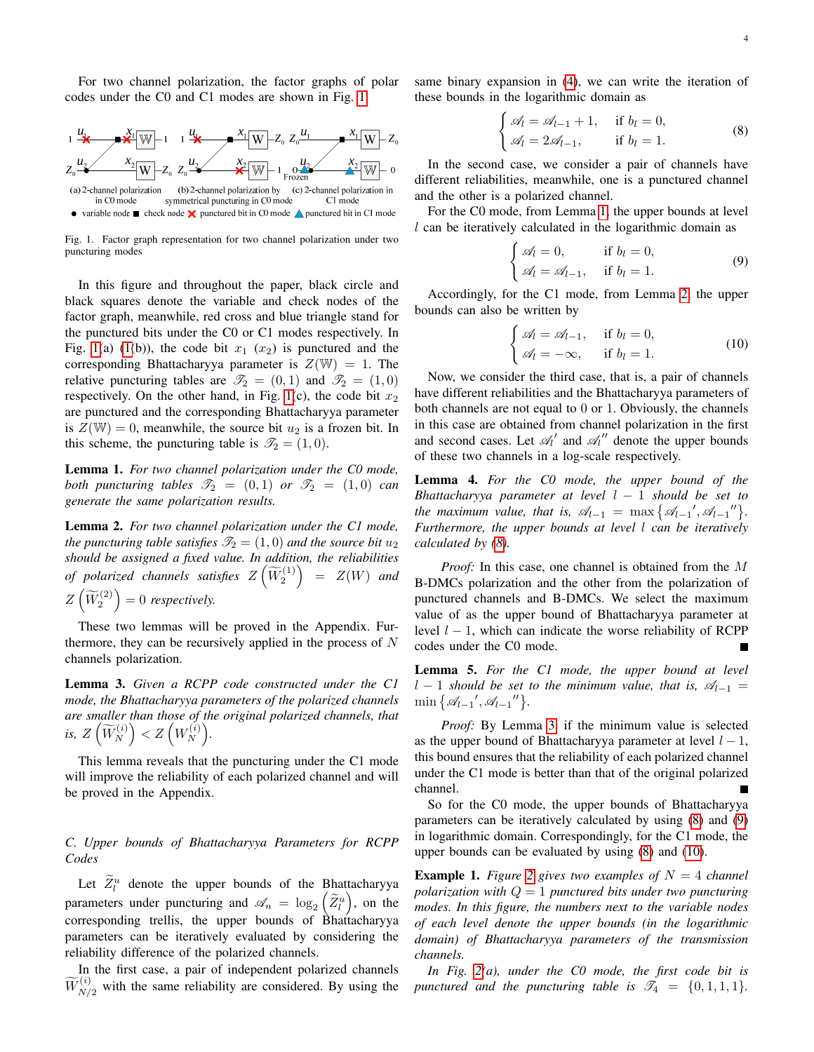For two channel polarization, the factor graphs of polar codes under the C0 and C1 modes are shown in Fig. [1.](#page-3-0)



<span id="page-3-0"></span>Fig. 1. Factor graph representation for two channel polarization under two puncturing modes

In this figure and throughout the paper, black circle and black squares denote the variable and check nodes of the factor graph, meanwhile, red cross and blue triangle stand for the punctured bits under the C0 or C1 modes respectively. In Fig. [1\(](#page-3-0)a) [\(1\(](#page-3-0)b)), the code bit  $x_1$  ( $x_2$ ) is punctured and the corresponding Bhattacharyya parameter is  $Z(\mathbb{W}) = 1$ . The relative puncturing tables are  $\mathcal{T}_2 = (0, 1)$  and  $\mathcal{T}_2 = (1, 0)$ respectively. On the other hand, in Fig. [1\(](#page-3-0)c), the code bit  $x_2$ are punctured and the corresponding Bhattacharyya parameter is  $Z(\mathbb{W}) = 0$ , meanwhile, the source bit  $u_2$  is a frozen bit. In this scheme, the puncturing table is  $\mathcal{I}_2 = (1, 0)$ .

<span id="page-3-1"></span>Lemma 1. *For two channel polarization under the C0 mode, both puncturing tables*  $\mathscr{T}_2 = (0,1)$  *or*  $\mathscr{T}_2 = (1,0)$  *can generate the same polarization results.*

<span id="page-3-2"></span>Lemma 2. *For two channel polarization under the C1 mode, the puncturing table satisfies*  $\mathcal{T}_2 = (1,0)$  *and the source bit*  $u_2$ *should be assigned a fixed value. In addition, the reliabilities of polarized channels satisfies*  $Z\left(\widetilde{W}_{2}^{(1)}\right)$  $= Z(W)$  *and*  $Z\left(\widetilde{W}_2^{(2)}\right) = 0$  respectively.

These two lemmas will be proved in the Appendix. Furthermore, they can be recursively applied in the process of  $N$ channels polarization.

<span id="page-3-4"></span>Lemma 3. *Given a RCPP code constructed under the C1 mode, the Bhattacharyya parameters of the polarized channels are smaller than those of the original polarized channels, that*  $i$ s,  $Z\left(\widetilde{W}_N^{(i)}\right) < Z\left(W_N^{(i)}\right)$  $\begin{pmatrix} i \\ N \end{pmatrix}$ .

This lemma reveals that the puncturing under the C1 mode will improve the reliability of each polarized channel and will be proved in the Appendix.

*C. Upper bounds of Bhattacharyya Parameters for RCPP Codes*

Let  $\widetilde{Z}_l^u$  denote the upper bounds of the Bhattacharyya parameters under puncturing and  $\mathscr{A}_n = \log_2(\widetilde{Z}_l^u)$ , on the corresponding trellis, the upper bounds of Bhattacharyya parameters can be iteratively evaluated by considering the reliability difference of the polarized channels.

In the first case, a pair of independent polarized channels  $\widetilde{W}_{N/2}^{(i)}$  with the same reliability are considered. By using the same binary expansion in [\(4\)](#page-2-1), we can write the iteration of these bounds in the logarithmic domain as

<span id="page-3-3"></span>
$$
\begin{cases} \mathcal{A}_l = \mathcal{A}_{l-1} + 1, & \text{if } b_l = 0, \\ \mathcal{A}_l = 2\mathcal{A}_{l-1}, & \text{if } b_l = 1. \end{cases}
$$
 (8)

In the second case, we consider a pair of channels have different reliabilities, meanwhile, one is a punctured channel and the other is a polarized channel.

For the C0 mode, from Lemma [1,](#page-3-1) the upper bounds at level  $l$  can be iteratively calculated in the logarithmic domain as

<span id="page-3-5"></span>
$$
\begin{cases}\n\mathscr{A}_l = 0, & \text{if } b_l = 0, \\
\mathscr{A}_l = \mathscr{A}_{l-1}, & \text{if } b_l = 1.\n\end{cases}
$$
\n(9)

Accordingly, for the C1 mode, from Lemma [2,](#page-3-2) the upper bounds can also be written by

<span id="page-3-6"></span>
$$
\begin{cases}\n\mathcal{A}_l = \mathcal{A}_{l-1}, & \text{if } b_l = 0, \\
\mathcal{A}_l = -\infty, & \text{if } b_l = 1.\n\end{cases}
$$
\n(10)

Now, we consider the third case, that is, a pair of channels have different reliabilities and the Bhattacharyya parameters of both channels are not equal to 0 or 1. Obviously, the channels in this case are obtained from channel polarization in the first and second cases. Let  $\mathcal{A}'_l$  and  $\mathcal{A}''_l$  denote the upper bounds of these two channels in a log-scale respectively.

<span id="page-3-7"></span>Lemma 4. *For the C0 mode, the upper bound of the Bhattacharyya parameter at level* l − 1 *should be set to the maximum value, that is,*  $\mathscr{A}_{l-1} = \max \{ \mathscr{A}_{l-1}, \mathscr{A}_{l-1} \}$ . *Furthermore, the upper bounds at level* l *can be iteratively calculated by [\(8\)](#page-3-3).*

*Proof:* In this case, one channel is obtained from the M B-DMCs polarization and the other from the polarization of punctured channels and B-DMCs. We select the maximum value of as the upper bound of Bhattacharyya parameter at level  $l - 1$ , which can indicate the worse reliability of RCPP codes under the C0 mode.

<span id="page-3-8"></span>Lemma 5. *For the C1 mode, the upper bound at level*  $l - 1$  *should be set to the minimum value, that is,*  $\mathcal{A}_{l-1}$  =  $\min \{ \mathcal{A}_{l-1}, \mathcal{A}_{l-1}'' \}.$ 

*Proof:* By Lemma [3,](#page-3-4) if the minimum value is selected as the upper bound of Bhattacharyya parameter at level  $l - 1$ , this bound ensures that the reliability of each polarized channel under the C1 mode is better than that of the original polarized channel.

So for the C0 mode, the upper bounds of Bhattacharyya parameters can be iteratively calculated by using [\(8\)](#page-3-3) and [\(9\)](#page-3-5) in logarithmic domain. Correspondingly, for the C1 mode, the upper bounds can be evaluated by using [\(8\)](#page-3-3) and [\(10\)](#page-3-6).

<span id="page-3-9"></span>**Example 1.** Figure [2](#page-4-1) gives two examples of  $N = 4$  channel *polarization with* Q = 1 *punctured bits under two puncturing modes. In this figure, the numbers next to the variable nodes of each level denote the upper bounds (in the logarithmic domain) of Bhattacharyya parameters of the transmission channels.*

*In Fig. [2\(](#page-4-1)a), under the C0 mode, the first code bit is punctured and the puncturing table is*  $\mathcal{T}_4 = \{0, 1, 1, 1\}.$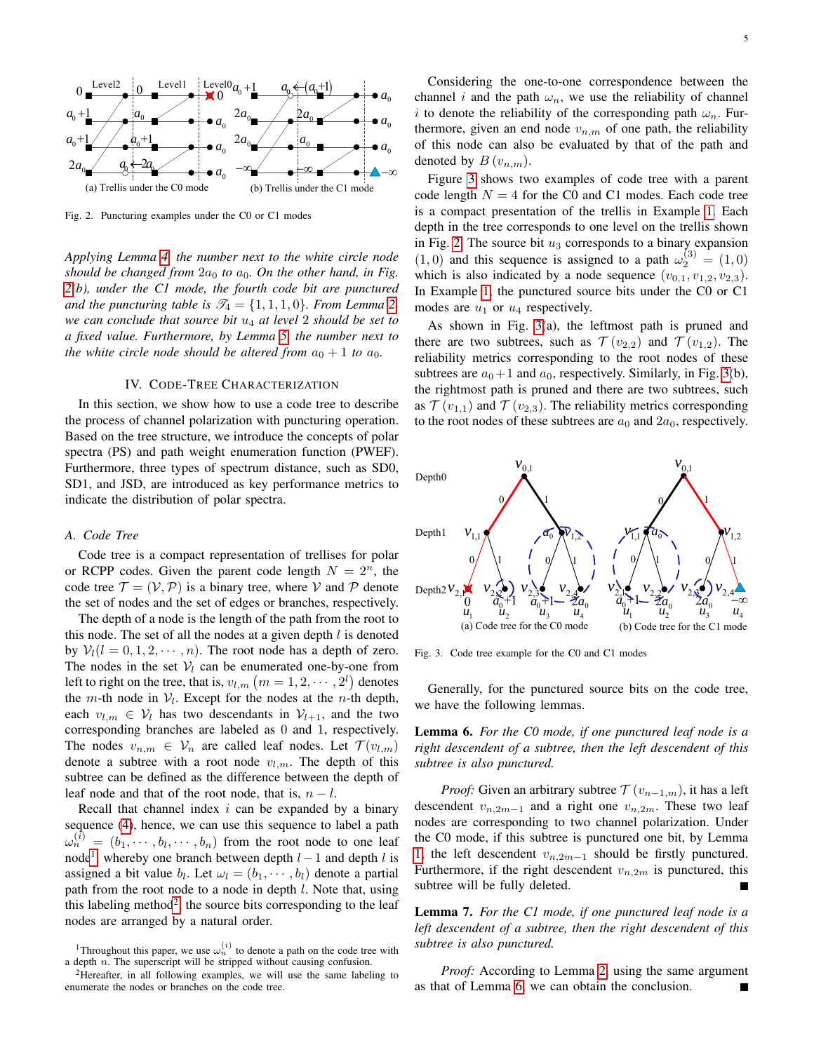

<span id="page-4-1"></span>Fig. 2. Puncturing examples under the C0 or C1 modes

*Applying Lemma [4,](#page-3-7) the number next to the white circle node should be changed from*  $2a_0$  *to*  $a_0$ *. On the other hand, in Fig. [2\(](#page-4-1)b), under the C1 mode, the fourth code bit are punctured and the puncturing table is*  $\mathcal{T}_4 = \{1, 1, 1, 0\}$ *. From Lemma [2,](#page-3-2) we can conclude that source bit* u<sup>4</sup> *at level* 2 *should be set to a fixed value. Furthermore, by Lemma [5,](#page-3-8) the number next to the white circle node should be altered from*  $a_0 + 1$  *to*  $a_0$ *.* 

### IV. CODE-TREE CHARACTERIZATION

<span id="page-4-0"></span>In this section, we show how to use a code tree to describe the process of channel polarization with puncturing operation. Based on the tree structure, we introduce the concepts of polar spectra (PS) and path weight enumeration function (PWEF). Furthermore, three types of spectrum distance, such as SD0, SD1, and JSD, are introduced as key performance metrics to indicate the distribution of polar spectra.

#### *A. Code Tree*

Code tree is a compact representation of trellises for polar or RCPP codes. Given the parent code length  $N = 2<sup>n</sup>$ , the code tree  $\mathcal{T} = (\mathcal{V}, \mathcal{P})$  is a binary tree, where V and P denote the set of nodes and the set of edges or branches, respectively.

The depth of a node is the length of the path from the root to this node. The set of all the nodes at a given depth  $l$  is denoted by  $V_l(l = 0, 1, 2, \dots, n)$ . The root node has a depth of zero. The nodes in the set  $V_l$  can be enumerated one-by-one from left to right on the tree, that is,  $v_{l,m}$   $\left( m=1,2,\cdots,2^{l}\right)$  denotes the *m*-th node in  $V_l$ . Except for the nodes at the *n*-th depth, each  $v_{l,m} \in V_l$  has two descendants in  $V_{l+1}$ , and the two corresponding branches are labeled as 0 and 1, respectively. The nodes  $v_{n,m} \in V_n$  are called leaf nodes. Let  $\mathcal{T}(v_{l,m})$ denote a subtree with a root node  $v_{l,m}$ . The depth of this subtree can be defined as the difference between the depth of leaf node and that of the root node, that is,  $n - l$ .

Recall that channel index  $i$  can be expanded by a binary sequence [\(4\)](#page-2-1), hence, we can use this sequence to label a path  $\omega_n^{(i)} = (b_1, \dots, b_l, \dots, b_n)$  from the root node to one leaf node<sup>[1](#page-4-2)</sup>, whereby one branch between depth  $l-1$  and depth  $l$  is assigned a bit value  $b_l$ . Let  $\omega_l = (b_1, \dots, b_l)$  denote a partial path from the root node to a node in depth  $l$ . Note that, using this labeling method<sup>[2](#page-4-3)</sup>, the source bits corresponding to the leaf nodes are arranged by a natural order.

Considering the one-to-one correspondence between the channel i and the path  $\omega_n$ , we use the reliability of channel i to denote the reliability of the corresponding path  $\omega_n$ . Furthermore, given an end node  $v_{n,m}$  of one path, the reliability of this node can also be evaluated by that of the path and denoted by  $B(v_{n,m})$ .

Figure [3](#page-4-4) shows two examples of code tree with a parent code length  $N = 4$  for the C0 and C1 modes. Each code tree is a compact presentation of the trellis in Example [1.](#page-3-9) Each depth in the tree corresponds to one level on the trellis shown in Fig. [2.](#page-4-1) The source bit  $u_3$  corresponds to a binary expansion  $(1, 0)$  and this sequence is assigned to a path  $\omega_2^{(3)} = (1, 0)$ which is also indicated by a node sequence  $(v_{0,1}, v_{1,2}, v_{2,3})$ . In Example [1,](#page-3-9) the punctured source bits under the C0 or C1 modes are  $u_1$  or  $u_4$  respectively.

As shown in Fig. [3\(](#page-4-4)a), the leftmost path is pruned and there are two subtrees, such as  $\mathcal{T}(v_{2,2})$  and  $\mathcal{T}(v_{1,2})$ . The reliability metrics corresponding to the root nodes of these subtrees are  $a_0+1$  and  $a_0$ , respectively. Similarly, in Fig. [3\(](#page-4-4)b), the rightmost path is pruned and there are two subtrees, such as  $\mathcal{T}(v_{1,1})$  and  $\mathcal{T}(v_{2,3})$ . The reliability metrics corresponding to the root nodes of these subtrees are  $a_0$  and  $2a_0$ , respectively.



<span id="page-4-4"></span>Fig. 3. Code tree example for the C0 and C1 modes

Generally, for the punctured source bits on the code tree, we have the following lemmas.

<span id="page-4-5"></span>Lemma 6. *For the C0 mode, if one punctured leaf node is a right descendent of a subtree, then the left descendent of this subtree is also punctured.*

*Proof:* Given an arbitrary subtree  $\mathcal{T}(v_{n-1,m})$ , it has a left descendent  $v_{n,2m-1}$  and a right one  $v_{n,2m}$ . These two leaf nodes are corresponding to two channel polarization. Under the C0 mode, if this subtree is punctured one bit, by Lemma [1,](#page-3-1) the left descendent  $v_{n,2m-1}$  should be firstly punctured. Furthermore, if the right descendent  $v_{n,2m}$  is punctured, this subtree will be fully deleted.

<span id="page-4-6"></span>Lemma 7. *For the C1 mode, if one punctured leaf node is a left descendent of a subtree, then the right descendent of this subtree is also punctured.*

*Proof:* According to Lemma [2,](#page-3-2) using the same argument as that of Lemma [6,](#page-4-5) we can obtain the conclusion.

<span id="page-4-2"></span><sup>&</sup>lt;sup>1</sup>Throughout this paper, we use  $\omega_n^{(i)}$  to denote a path on the code tree with a depth  $n$ . The superscript will be stripped without causing confusion.

<span id="page-4-3"></span> $2$ Hereafter, in all following examples, we will use the same labeling to enumerate the nodes or branches on the code tree.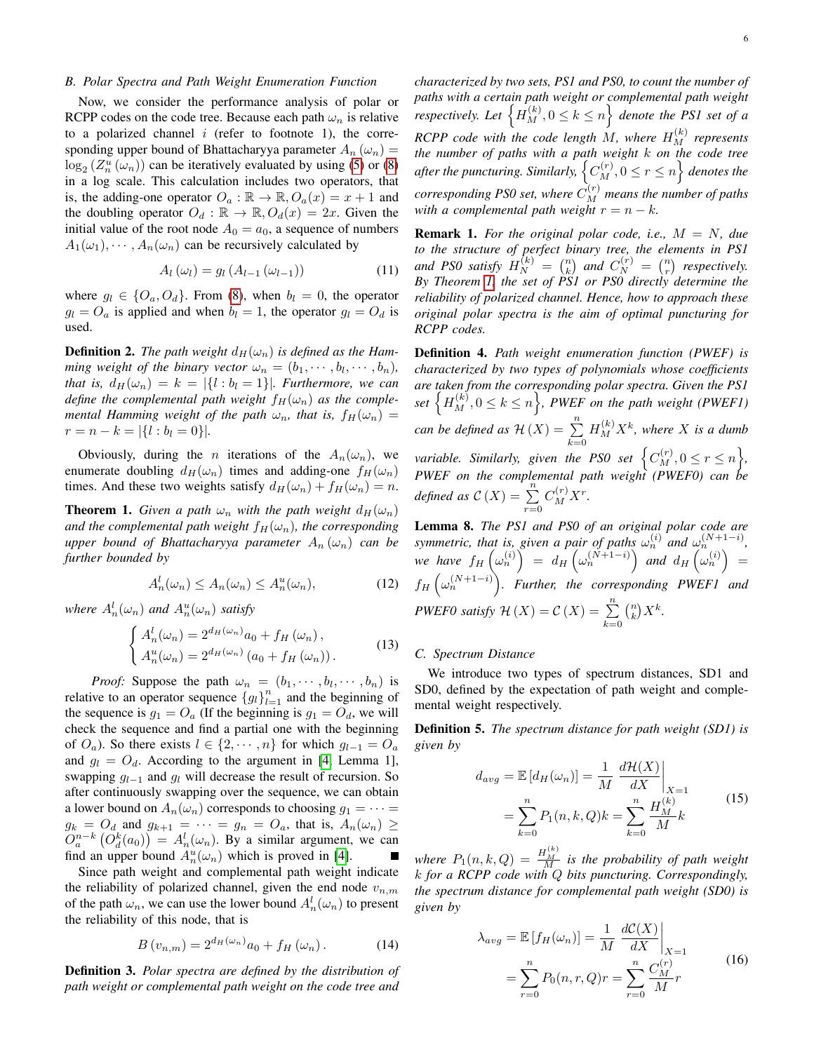# *B. Polar Spectra and Path Weight Enumeration Function*

Now, we consider the performance analysis of polar or RCPP codes on the code tree. Because each path  $\omega_n$  is relative to a polarized channel  $i$  (refer to footnote 1), the corresponding upper bound of Bhattacharyya parameter  $A_n(\omega_n)$  =  $\log_2(Z_n^u(\omega_n))$  can be iteratively evaluated by using [\(5\)](#page-2-2) or [\(8\)](#page-3-3) in a log scale. This calculation includes two operators, that is, the adding-one operator  $O_a : \mathbb{R} \to \mathbb{R}$ ,  $O_a(x) = x + 1$  and the doubling operator  $O_d : \mathbb{R} \to \mathbb{R}$ ,  $O_d(x) = 2x$ . Given the initial value of the root node  $A_0 = a_0$ , a sequence of numbers  $A_1(\omega_1), \cdots, A_n(\omega_n)$  can be recursively calculated by

$$
A_{l}(\omega_{l}) = g_{l}(A_{l-1}(\omega_{l-1})) \qquad (11)
$$

where  $g_l \in \{O_a, O_d\}$ . From [\(8\)](#page-3-3), when  $b_l = 0$ , the operator  $g_l = O_a$  is applied and when  $b_l = 1$ , the operator  $g_l = O_d$  is used.

**Definition 2.** The path weight  $d_H(\omega_n)$  is defined as the Ham*ming weight of the binary vector*  $\omega_n = (b_1, \dots, b_l, \dots, b_n)$ *, that is,*  $d_H(\omega_n) = k = |\{l : b_l = 1\}|$ *. Furthermore, we can define the complemental path weight*  $f_H(\omega_n)$  *as the complemental Hamming weight of the path*  $\omega_n$ *, that is,*  $f_H(\omega_n)$  =  $r = n - k = |\{l : b_l = 0\}|.$ 

Obviously, during the *n* iterations of the  $A_n(\omega_n)$ , we enumerate doubling  $d_H(\omega_n)$  times and adding-one  $f_H(\omega_n)$ times. And these two weights satisfy  $d_H(\omega_n) + f_H(\omega_n) = n$ .

<span id="page-5-0"></span>**Theorem 1.** *Given a path*  $\omega_n$  *with the path weight*  $d_H(\omega_n)$ *and the complemental path weight*  $f_H(\omega_n)$ *, the corresponding upper bound of Bhattacharyya parameter*  $A_n(\omega_n)$  *can be further bounded by*

$$
A_n^l(\omega_n) \le A_n(\omega_n) \le A_n^u(\omega_n),\tag{12}
$$

where  $A_n^l(\omega_n)$  and  $A_n^u(\omega_n)$  satisfy

$$
\begin{cases}\nA_n^l(\omega_n) = 2^{d_H(\omega_n)} a_0 + f_H(\omega_n), \\
A_n^u(\omega_n) = 2^{d_H(\omega_n)} (a_0 + f_H(\omega_n)).\n\end{cases}
$$
\n(13)

*Proof:* Suppose the path  $\omega_n = (b_1, \dots, b_l, \dots, b_n)$  is relative to an operator sequence  ${g_l}_{l=1}^n$  and the beginning of the sequence is  $g_1 = O_a$  (If the beginning is  $g_1 = O_d$ , we will check the sequence and find a partial one with the beginning of  $O_a$ ). So there exists  $l \in \{2, \dots, n\}$  for which  $g_{l-1} = O_a$ and  $g_l = O_d$ . According to the argument in [\[4,](#page-14-20) Lemma 1], swapping  $g_{l-1}$  and  $g_l$  will decrease the result of recursion. So after continuously swapping over the sequence, we can obtain a lower bound on  $A_n(\omega_n)$  corresponds to choosing  $g_1 = \cdots =$  $g_k = O_d$  and  $g_{k+1} = \cdots = g_n = O_a$ , that is,  $A_n(\omega_n) \ge$  $O_a^{n-k}$   $(O_d^k(a_0)) = A_n^l(\omega_n)$ . By a similar argument, we can find an upper bound  $A_n^u(\omega_n)$  which is proved in [\[4\]](#page-14-20). П

Since path weight and complemental path weight indicate the reliability of polarized channel, given the end node  $v_{n,m}$ of the path  $\omega_n$ , we can use the lower bound  $A_n^l(\omega_n)$  to present the reliability of this node, that is

$$
B(v_{n,m}) = 2^{d_H(\omega_n)} a_0 + f_H(\omega_n). \tag{14}
$$

Definition 3. *Polar spectra are defined by the distribution of path weight or complemental path weight on the code tree and*

*characterized by two sets, PS1 and PS0, to count the number of paths with a certain path weight or complemental path weight respectively. Let*  $\left\{ H_M^{(k)}, 0 \leq k \leq n \right\}$  *denote the PS1 set of a*  $RCPP$  code with the code length  $M$ , where  $H_M^{(k)}$  represents *the number of paths with a path weight* k *on the code tree* after the puncturing. Similarly,  $\left\{ C_{M}^{(r)},0\leq r\leq n\right\}$  denotes the  $corresponding$  PS0 set, where  $C_M^{(r)}$  means the number of paths *with a complemental path weight*  $r = n - k$ *.* 

Remark 1. *For the original polar code, i.e.,* M = N*, due to the structure of perfect binary tree, the elements in PS1 and PS0 satisfy*  $H_N^{(k)} = \binom{n}{k}$  *and*  $C_N^{(r)} = \binom{n}{r}$  *respectively. By Theorem [1,](#page-5-0) the set of PS1 or PS0 directly determine the reliability of polarized channel. Hence, how to approach these original polar spectra is the aim of optimal puncturing for RCPP codes.*

Definition 4. *Path weight enumeration function (PWEF) is characterized by two types of polynomials whose coefficients are taken from the corresponding polar spectra. Given the PS1* set  $\left\{H_M^{(k)}, 0 \leq k \leq n\right\}$ , *PWEF* on the path weight (PWEF1) *can be defined as*  $\mathcal{H}(X) = \sum_{n=1}^{\infty}$  $k=0$  $H_M^{(k)}X^k$ , where X is a dumb *variable. Similarly, given the PS0 set*  $\Big\{ C_M^{(r)}, 0 \leq r \leq n \Big\}$ , *PWEF on the complemental path weight (PWEF0) can be defined as*  $C(X) = \sum_{r=0}^{n} C_M^{(r)} X^r$ .

<span id="page-5-1"></span>Lemma 8. *The PS1 and PS0 of an original polar code are symmetric, that is, given a pair of paths*  $\omega_n^{(i)}$  *and*  $\omega_n^{(N+1-i)}$ , we have  $f_H\left(\omega_n^{(i)}\right) = d_H\left(\omega_n^{(\tilde{N}+1-i)}\right)$  and  $d_H\left(\omega_n^{(i)}\right) =$  $f_H\left(\omega_n^{(N+1-i)}\right)$ . Further, the corresponding PWEF1 and *PWEF0 satisfy*  $\mathcal{H}(X) = \mathcal{C}(X) = \sum_{n=1}^{\infty}$  $k=0$  $\binom{n}{k} X^k$ .

## *C. Spectrum Distance*

We introduce two types of spectrum distances, SD1 and SD0, defined by the expectation of path weight and complemental weight respectively.

Definition 5. *The spectrum distance for path weight (SD1) is given by*

$$
d_{avg} = \mathbb{E}\left[d_H(\omega_n)\right] = \frac{1}{M} \left. \frac{d\mathcal{H}(X)}{dX} \right|_{X=1}
$$

$$
= \sum_{k=0}^{n} P_1(n, k, Q)k = \sum_{k=0}^{n} \frac{H_M^{(k)}}{M}k
$$
(15)

where  $P_1(n, k, Q) = \frac{H_M^{(k)}}{M}$  is the probability of path weight k *for a RCPP code with* Q *bits puncturing. Correspondingly, the spectrum distance for complemental path weight (SD0) is given by*

$$
\lambda_{avg} = \mathbb{E}\left[f_H(\omega_n)\right] = \frac{1}{M} \left. \frac{dC(X)}{dX} \right|_{X=1}
$$

$$
= \sum_{r=0}^{n} P_0(n, r, Q)r = \sum_{r=0}^{n} \frac{C_N^{(r)}}{M}r
$$
(16)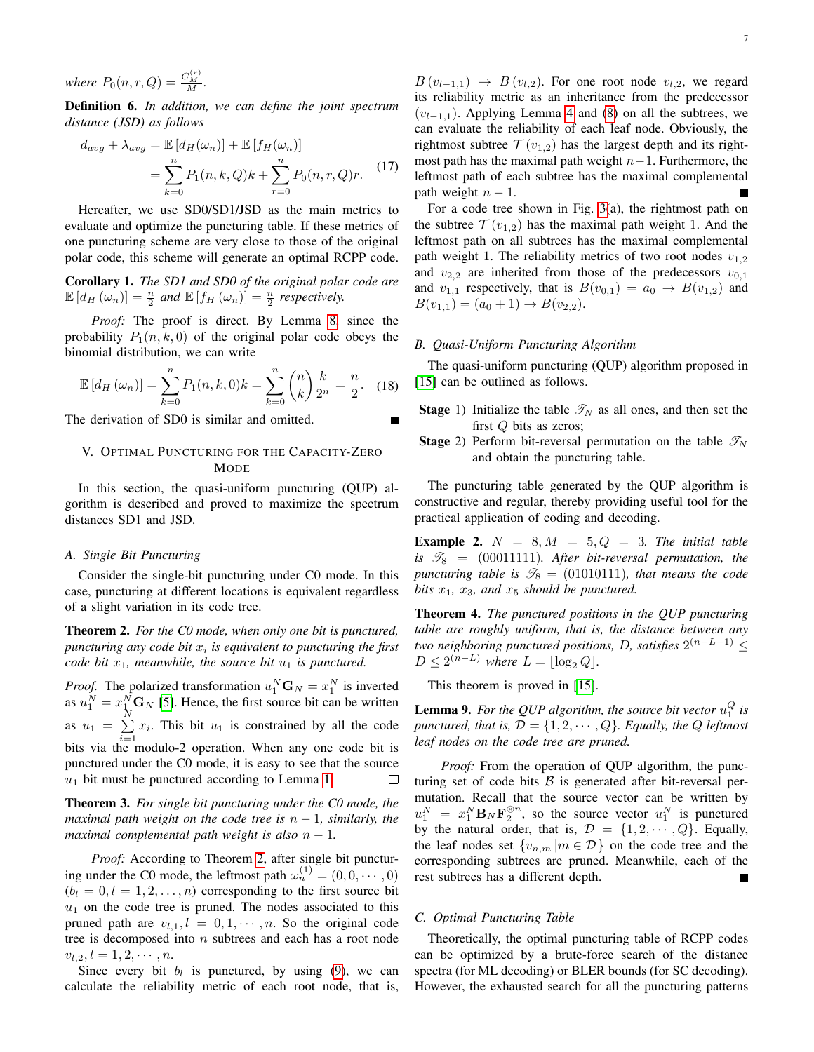*where*  $P_0(n, r, Q) = \frac{C_M^{(r)}}{M}$ .

Definition 6. *In addition, we can define the joint spectrum distance (JSD) as follows*

$$
d_{avg} + \lambda_{avg} = \mathbb{E}\left[d_H(\omega_n)\right] + \mathbb{E}\left[f_H(\omega_n)\right]
$$

$$
= \sum_{k=0}^n P_1(n,k,Q)k + \sum_{r=0}^n P_0(n,r,Q)r. \tag{17}
$$

Hereafter, we use SD0/SD1/JSD as the main metrics to evaluate and optimize the puncturing table. If these metrics of one puncturing scheme are very close to those of the original polar code, this scheme will generate an optimal RCPP code.

<span id="page-6-3"></span>Corollary 1. *The SD1 and SD0 of the original polar code are*  $\mathbb{E}\left[d_H\left(\omega_n\right)\right] = \frac{n}{2}$  and  $\mathbb{E}\left[f_H\left(\omega_n\right)\right] = \frac{n}{2}$  respectively.

*Proof:* The proof is direct. By Lemma [8,](#page-5-1) since the probability  $P_1(n, k, 0)$  of the original polar code obeys the binomial distribution, we can write

$$
\mathbb{E}\left[d_H\left(\omega_n\right)\right] = \sum_{k=0}^n P_1(n,k,0)k = \sum_{k=0}^n \binom{n}{k} \frac{k}{2^n} = \frac{n}{2}.\tag{18}
$$

The derivation of SD0 is similar and omitted.

# <span id="page-6-0"></span>V. OPTIMAL PUNCTURING FOR THE CAPACITY-ZERO **MODE**

In this section, the quasi-uniform puncturing (QUP) algorithm is described and proved to maximize the spectrum distances SD1 and JSD.

# *A. Single Bit Puncturing*

Consider the single-bit puncturing under C0 mode. In this case, puncturing at different locations is equivalent regardless of a slight variation in its code tree.

<span id="page-6-1"></span>Theorem 2. *For the C0 mode, when only one bit is punctured,*  $p$ uncturing any code bit  $x_i$  is equivalent to puncturing the first *code bit*  $x_1$ *, meanwhile, the source bit*  $u_1$  *is punctured.* 

*Proof.* The polarized transformation  $u_1^N \mathbf{G}_N = x_1^N$  is inverted as  $u_1^N = x_1^N \mathbf{G}_N$  [\[5\]](#page-14-13). Hence, the first source bit can be written as  $u_1 = \sum_{ }^N$  $\sum_{i=1} x_i$ . This bit  $u_1$  is constrained by all the code bits via the modulo-2 operation. When any one code bit is punctured under the C0 mode, it is easy to see that the source  $u_1$  bit must be punctured according to Lemma [1.](#page-3-1) П

<span id="page-6-2"></span>Theorem 3. *For single bit puncturing under the C0 mode, the maximal path weight on the code tree is*  $n - 1$ *, similarly, the maximal complemental path weight is also*  $n - 1$ .

*Proof:* According to Theorem [2,](#page-6-1) after single bit puncturing under the C0 mode, the leftmost path  $\omega_n^{(1)} = (0, 0, \dots, 0)$  $(b_l = 0, l = 1, 2, \dots, n)$  corresponding to the first source bit  $u_1$  on the code tree is pruned. The nodes associated to this pruned path are  $v_{l,1}$ ,  $l = 0, 1, \dots, n$ . So the original code tree is decomposed into  $n$  subtrees and each has a root node  $v_{l,2}, l = 1, 2, \cdots, n.$ 

Since every bit  $b_l$  is punctured, by using [\(9\)](#page-3-5), we can calculate the reliability metric of each root node, that is,

 $B(v_{l-1,1}) \rightarrow B(v_{l,2})$ . For one root node  $v_{l,2}$ , we regard its reliability metric as an inheritance from the predecessor  $(v_{l-1,1})$ . Applying Lemma [4](#page-3-7) and [\(8\)](#page-3-3) on all the subtrees, we can evaluate the reliability of each leaf node. Obviously, the rightmost subtree  $\mathcal{T}(v_{1,2})$  has the largest depth and its rightmost path has the maximal path weight  $n-1$ . Furthermore, the leftmost path of each subtree has the maximal complemental path weight  $n - 1$ .

For a code tree shown in Fig. [3\(](#page-4-4)a), the rightmost path on the subtree  $\mathcal{T}(v_{1,2})$  has the maximal path weight 1. And the leftmost path on all subtrees has the maximal complemental path weight 1. The reliability metrics of two root nodes  $v_{1,2}$ and  $v_{2,2}$  are inherited from those of the predecessors  $v_{0,1}$ and  $v_{1,1}$  respectively, that is  $B(v_{0,1}) = a_0 \rightarrow B(v_{1,2})$  and  $B(v_{1,1}) = (a_0 + 1) \rightarrow B(v_{2,2}).$ 

# *B. Quasi-Uniform Puncturing Algorithm*

The quasi-uniform puncturing (QUP) algorithm proposed in [\[15\]](#page-14-7) can be outlined as follows.

- **Stage** 1) Initialize the table  $\mathcal{T}_N$  as all ones, and then set the first Q bits as zeros;
- **Stage** 2) Perform bit-reversal permutation on the table  $\mathscr{T}_N$ and obtain the puncturing table.

The puncturing table generated by the QUP algorithm is constructive and regular, thereby providing useful tool for the practical application of coding and decoding.

**Example 2.**  $N = 8, M = 5, Q = 3$ . The initial table is  $\mathscr{T}_8$  = (00011111)*.* After bit-reversal permutation, the *puncturing table is*  $\mathcal{T}_8 = (01010111)$ *, that means the code bits*  $x_1$ *,*  $x_3$ *, and*  $x_5$  *should be punctured.* 

<span id="page-6-5"></span>Theorem 4. *The punctured positions in the QUP puncturing table are roughly uniform, that is, the distance between any two neighboring punctured positions, D, satisfies*  $2^{(n-L-1)}$  ≤  $D \leq 2^{(n-L)}$  where  $L = \lfloor \log_2 Q \rfloor$ .

This theorem is proved in [\[15\]](#page-14-7).

<span id="page-6-4"></span>**Lemma 9.** For the QUP algorithm, the source bit vector  $u_1^Q$  is *punctured, that is,*  $\mathcal{D} = \{1, 2, \cdots, Q\}$ *. Equally, the Q leftmost leaf nodes on the code tree are pruned.*

*Proof:* From the operation of QUP algorithm, the puncturing set of code bits  $\beta$  is generated after bit-reversal permutation. Recall that the source vector can be written by  $u_1^N = x_1^N B_N \mathbf{F}_2^{\otimes n}$ , so the source vector  $u_1^N$  is punctured by the natural order, that is,  $\mathcal{D} = \{1, 2, \cdots, Q\}$ . Equally, the leaf nodes set  $\{v_{n,m} | m \in \mathcal{D}\}\$  on the code tree and the corresponding subtrees are pruned. Meanwhile, each of the rest subtrees has a different depth.

## *C. Optimal Puncturing Table*

Theoretically, the optimal puncturing table of RCPP codes can be optimized by a brute-force search of the distance spectra (for ML decoding) or BLER bounds (for SC decoding). However, the exhausted search for all the puncturing patterns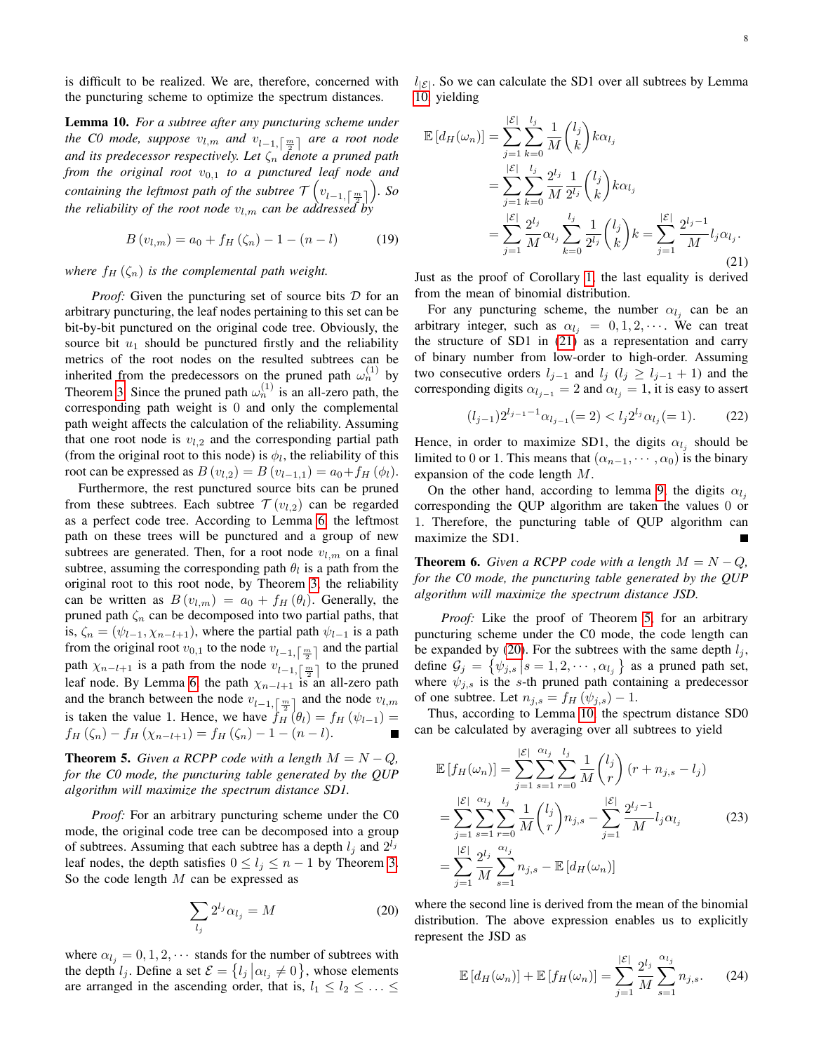is difficult to be realized. We are, therefore, concerned with the puncturing scheme to optimize the spectrum distances.

<span id="page-7-0"></span>Lemma 10. *For a subtree after any puncturing scheme under the C0 mode, suppose*  $v_{l,m}$  *and*  $v_{l-1,\lceil \frac{m}{2} \rceil}$  *are a root node and its predecessor respectively. Let*  $\zeta_n$  *denote a pruned path from the original root*  $v_{0,1}$  *to a punctured leaf node and*  $\mathit{containing the \,\textit{leftmost path of the subtree} \, \mathcal{T}\left(v_{l-1,\left\lceil \frac{m}{2} \right\rceil }\right)\textit{. So}$ *the reliability of the root node*  $v_{l,m}$  *can be addressed by* 

$$
B(v_{l,m}) = a_0 + f_H(\zeta_n) - 1 - (n - l)
$$
 (19)

*where*  $f_H(\zeta_n)$  *is the complemental path weight.* 

*Proof:* Given the puncturing set of source bits D for an arbitrary puncturing, the leaf nodes pertaining to this set can be bit-by-bit punctured on the original code tree. Obviously, the source bit  $u_1$  should be punctured firstly and the reliability metrics of the root nodes on the resulted subtrees can be inherited from the predecessors on the pruned path  $\omega_n^{(1)}$  by Theorem [3.](#page-6-2) Since the pruned path  $\omega_n^{(1)}$  is an all-zero path, the corresponding path weight is 0 and only the complemental path weight affects the calculation of the reliability. Assuming that one root node is  $v_{l,2}$  and the corresponding partial path (from the original root to this node) is  $\phi_l$ , the reliability of this root can be expressed as  $B(v_{l,2}) = B(v_{l-1,1}) = a_0 + f_H(\phi_l)$ .

Furthermore, the rest punctured source bits can be pruned from these subtrees. Each subtree  $\mathcal{T}(v_{l,2})$  can be regarded as a perfect code tree. According to Lemma [6,](#page-4-5) the leftmost path on these trees will be punctured and a group of new subtrees are generated. Then, for a root node  $v_{l,m}$  on a final subtree, assuming the corresponding path  $\theta_l$  is a path from the original root to this root node, by Theorem [3,](#page-6-2) the reliability can be written as  $B(v_{l,m}) = a_0 + f_H(\theta_l)$ . Generally, the pruned path  $\zeta_n$  can be decomposed into two partial paths, that is,  $\zeta_n = (\psi_{l-1}, \chi_{n-l+1})$ , where the partial path  $\psi_{l-1}$  is a path from the original root  $v_{0,1}$  to the node  $v_{l-1,\lceil \frac{m}{2} \rceil}$  and the partial path  $\chi_{n-l+1}$  is a path from the node  $v_{l-1,\lceil \frac{m}{2} \rceil}$  to the pruned leaf node. By Lemma [6,](#page-4-5) the path  $\chi_{n-l+1}$  is an all-zero path and the branch between the node  $v_{l-1,\lceil \frac{m}{2} \rceil}$  and the node  $v_{l,m}$ is taken the value 1. Hence, we have  $f_H(\theta_l) = f_H(\psi_{l-1}) =$  $f_H(\zeta_n) - f_H(\chi_{n-l+1}) = f_H(\zeta_n) - 1 - (n-l).$ 

<span id="page-7-2"></span>**Theorem 5.** *Given a RCPP code with a length*  $M = N - Q$ *, for the C0 mode, the puncturing table generated by the QUP algorithm will maximize the spectrum distance SD1.*

*Proof:* For an arbitrary puncturing scheme under the C0 mode, the original code tree can be decomposed into a group of subtrees. Assuming that each subtree has a depth  $l_j$  and  $2^{l_j}$ leaf nodes, the depth satisfies  $0 \le l_j \le n - 1$  by Theorem [3.](#page-6-2) So the code length  $M$  can be expressed as

<span id="page-7-3"></span>
$$
\sum_{l_j} 2^{l_j} \alpha_{l_j} = M \tag{20}
$$

where  $\alpha_{l_i} = 0, 1, 2, \cdots$  stands for the number of subtrees with the depth  $l_j$ . Define a set  $\mathcal{E} = \{l_j | \alpha_{l_j} \neq 0\}$ , whose elements are arranged in the ascending order, that is,  $l_1 \leq l_2 \leq \ldots \leq$   $l_{\mathcal{E}}$ . So we can calculate the SD1 over all subtrees by Lemma [10,](#page-7-0) yielding

<span id="page-7-1"></span>
$$
\mathbb{E}\left[d_{H}(\omega_{n})\right] = \sum_{j=1}^{|\mathcal{E}|} \sum_{k=0}^{l_{j}} \frac{1}{M} {l_{j} \choose k} k \alpha_{l_{j}}
$$
\n
$$
= \sum_{j=1}^{|\mathcal{E}|} \sum_{k=0}^{l_{j}} \frac{2^{l_{j}}}{M} \frac{1}{2^{l_{j}}} {l_{j} \choose k} k \alpha_{l_{j}}
$$
\n
$$
= \sum_{j=1}^{|\mathcal{E}|} \frac{2^{l_{j}}}{M} \alpha_{l_{j}} \sum_{k=0}^{l_{j}} \frac{1}{2^{l_{j}}} {l_{j} \choose k} k = \sum_{j=1}^{|\mathcal{E}|} \frac{2^{l_{j}-1}}{M} l_{j} \alpha_{l_{j}}.
$$
\n(21)

Just as the proof of Corollary [1,](#page-6-3) the last equality is derived from the mean of binomial distribution.

For any puncturing scheme, the number  $\alpha_{l_j}$  can be an arbitrary integer, such as  $\alpha_{l_i} = 0, 1, 2, \cdots$ . We can treat the structure of SD1 in [\(21\)](#page-7-1) as a representation and carry of binary number from low-order to high-order. Assuming two consecutive orders  $l_{i-1}$  and  $l_i$  ( $l_i \ge l_{i-1} + 1$ ) and the corresponding digits  $\alpha_{l_{i-1}} = 2$  and  $\alpha_{l_i} = 1$ , it is easy to assert

$$
(l_{j-1})2^{l_{j-1}-1}\alpha_{l_{j-1}}(=2) < l_j 2^{l_j} \alpha_{l_j}(=1). \tag{22}
$$

Hence, in order to maximize SD1, the digits  $\alpha_{l_j}$  should be limited to 0 or 1. This means that  $(\alpha_{n-1}, \dots, \alpha_0)$  is the binary expansion of the code length M.

On the other hand, according to lemma [9,](#page-6-4) the digits  $\alpha_{l_i}$ corresponding the QUP algorithm are taken the values 0 or 1. Therefore, the puncturing table of QUP algorithm can maximize the SD1.

<span id="page-7-5"></span>**Theorem 6.** *Given a RCPP code with a length*  $M = N - Q$ *, for the C0 mode, the puncturing table generated by the QUP algorithm will maximize the spectrum distance JSD.*

*Proof:* Like the proof of Theorem [5,](#page-7-2) for an arbitrary puncturing scheme under the C0 mode, the code length can be expanded by [\(20\)](#page-7-3). For the subtrees with the same depth  $l_j$ , define  $\mathcal{G}_j = \{ \psi_{j,s} | s = 1, 2, \cdots, \alpha_{l_j} \}$  as a pruned path set, where  $\psi_{j,s}$  is the s-th pruned path containing a predecessor of one subtree. Let  $n_{j,s} = f_H(\psi_{j,s}) - 1$ .

Thus, according to Lemma [10,](#page-7-0) the spectrum distance SD0 can be calculated by averaging over all subtrees to yield

$$
\mathbb{E}\left[f_H(\omega_n)\right] = \sum_{j=1}^{|\mathcal{E}|} \sum_{s=1}^{\alpha_{l_j}} \sum_{r=0}^{l_j} \frac{1}{M} {l_j \choose r} (r + n_{j,s} - l_j)
$$
  
\n
$$
= \sum_{j=1}^{|\mathcal{E}|} \sum_{s=1}^{\alpha_{l_j}} \sum_{r=0}^{l_j} \frac{1}{M} {l_j \choose r} n_{j,s} - \sum_{j=1}^{|\mathcal{E}|} \frac{2^{l_j - 1}}{M} l_j \alpha_{l_j}
$$
(23)  
\n
$$
= \sum_{j=1}^{|\mathcal{E}|} \frac{2^{l_j}}{M} \sum_{s=1}^{\alpha_{l_j}} n_{j,s} - \mathbb{E}\left[d_H(\omega_n)\right]
$$

where the second line is derived from the mean of the binomial distribution. The above expression enables us to explicitly represent the JSD as

<span id="page-7-4"></span>
$$
\mathbb{E}\left[d_H(\omega_n)\right] + \mathbb{E}\left[f_H(\omega_n)\right] = \sum_{j=1}^{|\mathcal{E}|} \frac{2^{l_j}}{M} \sum_{s=1}^{\alpha_{l_j}} n_{j,s}. \tag{24}
$$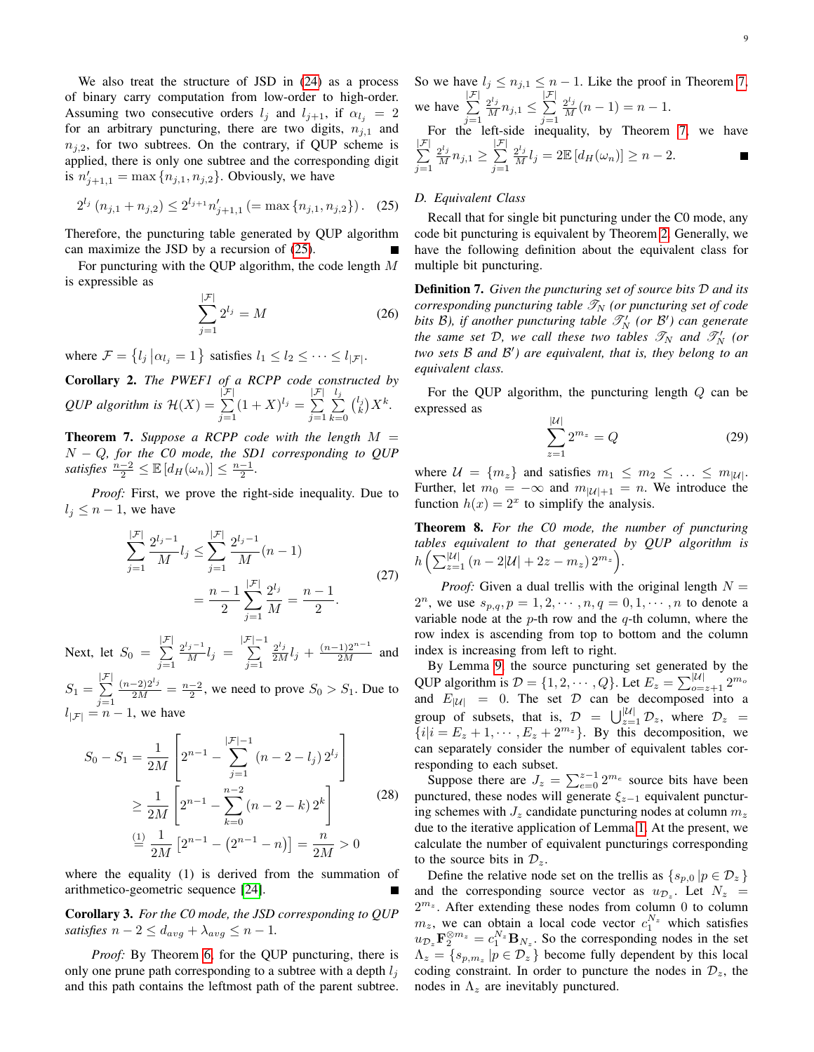We also treat the structure of JSD in [\(24\)](#page-7-4) as a process of binary carry computation from low-order to high-order. Assuming two consecutive orders  $l_j$  and  $l_{j+1}$ , if  $\alpha_{l_j} = 2$ for an arbitrary puncturing, there are two digits,  $n_{j,1}$  and  $n_{i,2}$ , for two subtrees. On the contrary, if QUP scheme is applied, there is only one subtree and the corresponding digit is  $n'_{j+1,1} = \max\{n_{j,1}, n_{j,2}\}.$  Obviously, we have

<span id="page-8-0"></span>
$$
2^{l_j} (n_{j,1} + n_{j,2}) \le 2^{l_{j+1}} n'_{j+1,1} (= \max\{n_{j,1}, n_{j,2}\})
$$
. (25)

Therefore, the puncturing table generated by QUP algorithm can maximize the JSD by a recursion of [\(25\)](#page-8-0).

For puncturing with the QUP algorithm, the code length M is expressible as

<span id="page-8-2"></span>
$$
\sum_{j=1}^{|\mathcal{F}|} 2^{l_j} = M \tag{26}
$$

where  $\mathcal{F} = \{l_j | \alpha_{l_j} = 1\}$  satisfies  $l_1 \leq l_2 \leq \cdots \leq l_{|\mathcal{F}|}.$ 

Corollary 2. *The PWEF1 of a RCPP code constructed by QUP algorithm is*  $\mathcal{H}(X) = \sum_{n=1}^{|{\mathcal{F}}|} (X_n - X_n)$  $j=1$  $(1 + X)^{l_j} = \sum^{|{\mathcal{F}}|}$  $j=1$  $\frac{l_j}{\sum}$  $k=0$  $\binom{l_j}{k} X^k$ .

<span id="page-8-1"></span>**Theorem 7.** Suppose a RCPP code with the length  $M =$ N − Q*, for the C0 mode, the SD1 corresponding to QUP satisfies*  $\frac{n-2}{2} \leq \mathbb{E}\left[d_H(\omega_n)\right] \leq \frac{n-1}{2}$ .

*Proof:* First, we prove the right-side inequality. Due to  $l_i \leq n-1$ , we have

$$
\sum_{j=1}^{|\mathcal{F}|} \frac{2^{l_j - 1}}{M} l_j \le \sum_{j=1}^{|\mathcal{F}|} \frac{2^{l_j - 1}}{M} (n - 1)
$$

$$
= \frac{n - 1}{2} \sum_{j=1}^{|\mathcal{F}|} \frac{2^{l_j}}{M} = \frac{n - 1}{2}.
$$
(27)

Next, let  $S_0 =$  $\sum_{i=1}^{|\mathcal{F}|}$  $j=1$  $\frac{2^{l_j-1}}{M}l_j =$  $\sum_{i=1}^{\lfloor \mathcal{F} \rfloor -1}$  $j=1$  $\frac{2^{l_j}}{2M}l_j + \frac{(n-1)2^{n-1}}{2M}$  and

 $S_1 =$  $\sum_{i=1}^{|\mathcal{F}|}$  $j=1$  $\frac{(n-2)2^{l_j}}{2M} = \frac{n-2}{2}$ , we need to prove  $S_0 > S_1$ . Due to  $l_{\mathcal{F}} = n - 1$ , we have

$$
S_0 - S_1 = \frac{1}{2M} \left[ 2^{n-1} - \sum_{j=1}^{|\mathcal{F}|-1} (n - 2 - l_j) 2^{l_j} \right]
$$
  
\n
$$
\geq \frac{1}{2M} \left[ 2^{n-1} - \sum_{k=0}^{n-2} (n - 2 - k) 2^k \right]
$$
  
\n
$$
\stackrel{(1)}{=} \frac{1}{2M} \left[ 2^{n-1} - (2^{n-1} - n) \right] = \frac{n}{2M} > 0
$$
 (28)

where the equality (1) is derived from the summation of arithmetico-geometric sequence [\[24\]](#page-14-21).

<span id="page-8-3"></span>Corollary 3. *For the C0 mode, the JSD corresponding to QUP satisfies*  $n - 2 \le d_{avg} + \lambda_{avg} \le n - 1$ .

*Proof:* By Theorem [6,](#page-7-5) for the QUP puncturing, there is only one prune path corresponding to a subtree with a depth  $l_i$ and this path contains the leftmost path of the parent subtree. 9

So we have  $l_j \leq n_{j,1} \leq n-1$ . Like the proof in Theorem [7,](#page-8-1)  $\sum_{i=1}^{|\mathcal{F}|}$  $\frac{2^{l_j}}{M} n_{j,1} \leq \sum$  $\frac{2^{l_j}}{M}(n-1) = n-1.$ we have  $j=1$  $j=1$  $\int_{0}^{\infty}$  left-side inequality, by Theorem [7,](#page-8-1) we have  $\sum_{i=1}^{|\mathcal{F}|}$  $\frac{2^{l_j}}{M} n_{j,1} \geq \sum_{l=1}^{|\mathcal{F}|}$  $\frac{2^{l_j}}{M} l_j = 2 \mathbb{E} [d_H(\omega_n)] \geq n - 2.$ П  $j=1$  $j=1$ 

# *D. Equivalent Class*

Recall that for single bit puncturing under the C0 mode, any code bit puncturing is equivalent by Theorem [2.](#page-6-1) Generally, we have the following definition about the equivalent class for multiple bit puncturing.

Definition 7. *Given the puncturing set of source bits* D *and its corresponding puncturing table*  $\mathcal{T}_N$  *(or puncturing set of code bits B*), *if another puncturing table*  $\mathcal{T}'_N$  *(or B') can generate the same set*  $\mathcal{D}$ *, we call these two tables*  $\mathscr{T}_{N}$  *and*  $\mathscr{T}'_{N}$  *(or two sets* B *and* B 0 *) are equivalent, that is, they belong to an equivalent class.*

For the QUP algorithm, the puncturing length  $Q$  can be expressed as

$$
\sum_{z=1}^{|\mathcal{U}|} 2^{m_z} = Q \tag{29}
$$

where  $U = \{m_z\}$  and satisfies  $m_1 \leq m_2 \leq \ldots \leq m_{|U|}$ . Further, let  $m_0 = -\infty$  and  $m_{|\mathcal{U}|+1} = n$ . We introduce the function  $h(x) = 2^x$  to simplify the analysis.

Theorem 8. *For the C0 mode, the number of puncturing tables equivalent to that generated by QUP algorithm is*  $h\left(\sum_{z=1}^{|U|}(n-2|U|+2z-m_z) 2^{m_z}\right)$ .

*Proof:* Given a dual trellis with the original length  $N =$  $2^{n}$ , we use  $s_{p,q}, p = 1, 2, \cdots, n, q = 0, 1, \cdots, n$  to denote a variable node at the  $p$ -th row and the  $q$ -th column, where the row index is ascending from top to bottom and the column index is increasing from left to right.

By Lemma [9,](#page-6-4) the source puncturing set generated by the QUP algorithm is  $\mathcal{D} = \{1, 2, \cdots, Q\}$ . Let  $E_z = \sum_{o=z+1}^{\vert \mathcal{U} \vert} 2^{m_o}$ and  $E_{|\mathcal{U}|} = 0$ . The set D can be decomposed into a group of subsets, that is,  $\mathcal{D} = \bigcup_{z=1}^{\vert \mathcal{U} \vert} \mathcal{D}_z$ , where  $\mathcal{D}_z =$  ${i | i = E_z + 1, \cdots, E_z + 2^{m_z}}$ . By this decomposition, we can separately consider the number of equivalent tables corresponding to each subset.

Suppose there are  $J_z = \sum_{e=0}^{z-1} 2^{m_e}$  source bits have been punctured, these nodes will generate  $\xi_{z-1}$  equivalent puncturing schemes with  $J_z$  candidate puncturing nodes at column  $m_z$ due to the iterative application of Lemma [1.](#page-3-1) At the present, we calculate the number of equivalent puncturings corresponding to the source bits in  $\mathcal{D}_z$ .

Define the relative node set on the trellis as  $\{s_{p,0} | p \in \mathcal{D}_z\}$ and the corresponding source vector as  $u_{\mathcal{D}_z}$ . Let  $N_z$  =  $2^{m_z}$ . After extending these nodes from column 0 to column  $m_z$ , we can obtain a local code vector  $c_1^{N_z}$  which satisfies  $u_{\mathcal{D}_z} \mathbf{F}_2^{\otimes m_z} = c_1^{N_z} \mathbf{B}_{N_z}$ . So the corresponding nodes in the set  $\Lambda_z = \{s_{p,m_z} | p \in \mathcal{D}_z \}$  become fully dependent by this local coding constraint. In order to puncture the nodes in  $\mathcal{D}_z$ , the nodes in  $\Lambda_z$  are inevitably punctured.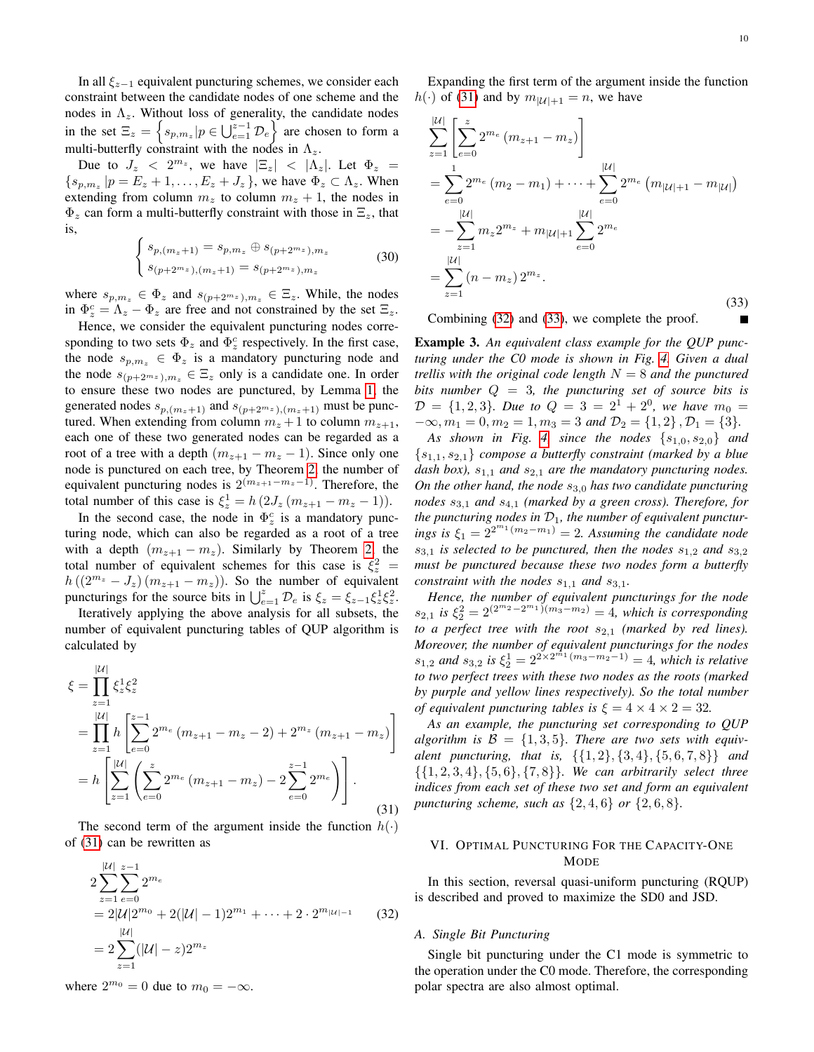In all  $\xi_{z-1}$  equivalent puncturing schemes, we consider each constraint between the candidate nodes of one scheme and the nodes in  $\Lambda_z$ . Without loss of generality, the candidate nodes in the set  $\Xi_z = \left\{ s_{p,m_z} | p \in \bigcup_{e=1}^{z-1} \mathcal{D}_e \right\}$  are chosen to form a multi-butterfly constraint with the nodes in  $\Lambda_z$ .

Due to  $J_z < 2^{m_z}$ , we have  $|\Xi_z| < |\Lambda_z|$ . Let  $\Phi_z$  =  $\{s_{p,m_z} | p = E_z + 1, \ldots, E_z + J_z \}$ , we have  $\Phi_z \subset \Lambda_z$ . When extending from column  $m_z$  to column  $m_z + 1$ , the nodes in  $\Phi_z$  can form a multi-butterfly constraint with those in  $\Xi_z$ , that is,

$$
\begin{cases}\ns_{p,(m_z+1)} = s_{p,m_z} \oplus s_{(p+2^{m_z}),m_z} \\
s_{(p+2^{m_z}), (m_z+1)} = s_{(p+2^{m_z}),m_z}\n\end{cases}
$$
\n(30)

where  $s_{p,m_z} \in \Phi_z$  and  $s_{(p+2^{m_z}),m_z} \in \Xi_z$ . While, the nodes in  $\Phi_z^c = \Lambda_z - \Phi_z$  are free and not constrained by the set  $\Xi_z$ .

Hence, we consider the equivalent puncturing nodes corresponding to two sets  $\Phi_z$  and  $\Phi_z^c$  respectively. In the first case, the node  $s_{p,m_z} \in \Phi_z$  is a mandatory puncturing node and the node  $s_{(p+2^{m_z}),m_z} \in \Xi_z$  only is a candidate one. In order to ensure these two nodes are punctured, by Lemma [1,](#page-3-1) the generated nodes  $s_{p,(m_z+1)}$  and  $s_{(p+2^{m_z}), (m_z+1)}$  must be punctured. When extending from column  $m_z + 1$  to column  $m_{z+1}$ , each one of these two generated nodes can be regarded as a root of a tree with a depth  $(m_{z+1} - m_z - 1)$ . Since only one node is punctured on each tree, by Theorem [2,](#page-6-1) the number of equivalent puncturing nodes is  $2^{(m_{z+1}-m_{z}-1)}$ . Therefore, the total number of this case is  $\xi_z^1 = h(2J_z(m_{z+1} - m_z - 1)).$ 

In the second case, the node in  $\Phi_z^c$  is a mandatory puncturing node, which can also be regarded as a root of a tree with a depth  $(m_{z+1} - m_z)$ . Similarly by Theorem [2,](#page-6-1) the total number of equivalent schemes for this case is  $\xi_z^2$  =  $h((2^{m_z}-J_z)(m_{z+1}-m_z)).$  So the number of equivalent puncturings for the source bits in  $\bigcup_{e=1}^{z} \mathcal{D}_e$  is  $\xi_z = \xi_{z-1} \xi_z^1 \xi_z^2$ .

Iteratively applying the above analysis for all subsets, the number of equivalent puncturing tables of QUP algorithm is calculated by

<span id="page-9-1"></span>
$$
\xi = \prod_{z=1}^{|\mathcal{U}|} \xi_z^1 \xi_z^2
$$
  
= 
$$
\prod_{z=1}^{|\mathcal{U}|} h \left[ \sum_{e=0}^{z-1} 2^{m_e} (m_{z+1} - m_z - 2) + 2^{m_z} (m_{z+1} - m_z) \right]
$$
  
= 
$$
h \left[ \sum_{z=1}^{|\mathcal{U}|} \left( \sum_{e=0}^{z} 2^{m_e} (m_{z+1} - m_z) - 2 \sum_{e=0}^{z-1} 2^{m_e} \right) \right].
$$
 (31)

The second term of the argument inside the function  $h(\cdot)$ of [\(31\)](#page-9-1) can be rewritten as

<span id="page-9-2"></span>
$$
2\sum_{z=1}^{|\mathcal{U}|} \sum_{e=0}^{z-1} 2^{m_e}
$$
  
= 2|\mathcal{U}|2^{m\_0} + 2(|\mathcal{U}| - 1)2^{m\_1} + \dots + 2 \cdot 2^{m\_{|\mathcal{U}|-1}} (32)  
= 2\sum\_{z=1}^{|\mathcal{U}|} (|\mathcal{U}| - z)2^{m\_z}

where  $2^{m_0} = 0$  due to  $m_0 = -\infty$ .

Expanding the first term of the argument inside the function  $h(\cdot)$  of [\(31\)](#page-9-1) and by  $m_{|\mathcal{U}|+1} = n$ , we have

<span id="page-9-3"></span>
$$
\sum_{z=1}^{|\mathcal{U}|} \left[ \sum_{e=0}^{z} 2^{m_e} (m_{z+1} - m_z) \right]
$$
  
= 
$$
\sum_{e=0}^{1} 2^{m_e} (m_2 - m_1) + \dots + \sum_{e=0}^{|\mathcal{U}|} 2^{m_e} (m_{|\mathcal{U}|+1} - m_{|\mathcal{U}|})
$$
  
= 
$$
-\sum_{z=1}^{|\mathcal{U}|} m_z 2^{m_z} + m_{|\mathcal{U}|+1} \sum_{e=0}^{|\mathcal{U}|} 2^{m_e}
$$
  
= 
$$
\sum_{z=1}^{|\mathcal{U}|} (n - m_z) 2^{m_z}.
$$
 (33)

Combining [\(32\)](#page-9-2) and [\(33\)](#page-9-3), we complete the proof.

Example 3. *An equivalent class example for the QUP puncturing under the C0 mode is shown in Fig. [4.](#page-10-0) Given a dual trellis with the original code length* N = 8 *and the punctured bits number* Q = 3*, the puncturing set of source bits is*  $\mathcal{D} = \{1, 2, 3\}$ . Due to  $Q = 3 = 2^1 + 2^0$ , we have  $m_0 =$  $-\infty$ ,  $m_1 = 0$ ,  $m_2 = 1$ ,  $m_3 = 3$  *and*  $\mathcal{D}_2 = \{1, 2\}$ ,  $\mathcal{D}_1 = \{3\}$ .

*As shown in Fig. [4,](#page-10-0) since the nodes*  $\{s_{1,0}, s_{2,0}\}$  *and* {s1,1, s2,1} *compose a butterfly constraint (marked by a blue dash box),*  $s_{1,1}$  *and*  $s_{2,1}$  *are the mandatory puncturing nodes. On the other hand, the node*  $s_{3,0}$  *has two candidate puncturing nodes* s3,<sup>1</sup> *and* s4,<sup>1</sup> *(marked by a green cross). Therefore, for* the puncturing nodes in  $\mathcal{D}_1$ , the number of equivalent punctur*ings is*  $\xi_1 = 2^{2^{m_1}(m_2 - m_1)} = 2$ . Assuming the candidate node  $s_{3,1}$  *is selected to be punctured, then the nodes*  $s_{1,2}$  *and*  $s_{3,2}$ *must be punctured because these two nodes form a butterfly constraint with the nodes*  $s_{1,1}$  *and*  $s_{3,1}$ *.* 

*Hence, the number of equivalent puncturings for the node*  $s_{2,1}$  *is*  $\xi_2^2 = 2^{(2^{m_2}-2^{m_1})(m_3-m_2)} = 4$ *, which is corresponding to a perfect tree with the root*  $s_{2,1}$  *(marked by red lines). Moreover, the number of equivalent puncturings for the nodes*  $s_{1,2}$  and  $s_{3,2}$  is  $\xi_2^1 = 2^{2 \times 2^{m_1}(m_3 - m_2 - 1)} = 4$ , which is relative *to two perfect trees with these two nodes as the roots (marked by purple and yellow lines respectively). So the total number of equivalent puncturing tables is*  $\xi = 4 \times 4 \times 2 = 32$ .

*As an example, the puncturing set corresponding to QUP* algorithm is  $\mathcal{B} = \{1, 3, 5\}$ . There are two sets with equiv*alent puncturing, that is,* {{1, 2}, {3, 4}, {5, 6, 7, 8}} *and* {{1, 2, 3, 4}, {5, 6}, {7, 8}}*. We can arbitrarily select three indices from each set of these two set and form an equivalent puncturing scheme, such as* {2, 4, 6} *or* {2, 6, 8}*.*

# <span id="page-9-0"></span>VI. OPTIMAL PUNCTURING FOR THE CAPACITY-ONE MODE

In this section, reversal quasi-uniform puncturing (RQUP) is described and proved to maximize the SD0 and JSD.

## *A. Single Bit Puncturing*

Single bit puncturing under the C1 mode is symmetric to the operation under the C0 mode. Therefore, the corresponding polar spectra are also almost optimal.

П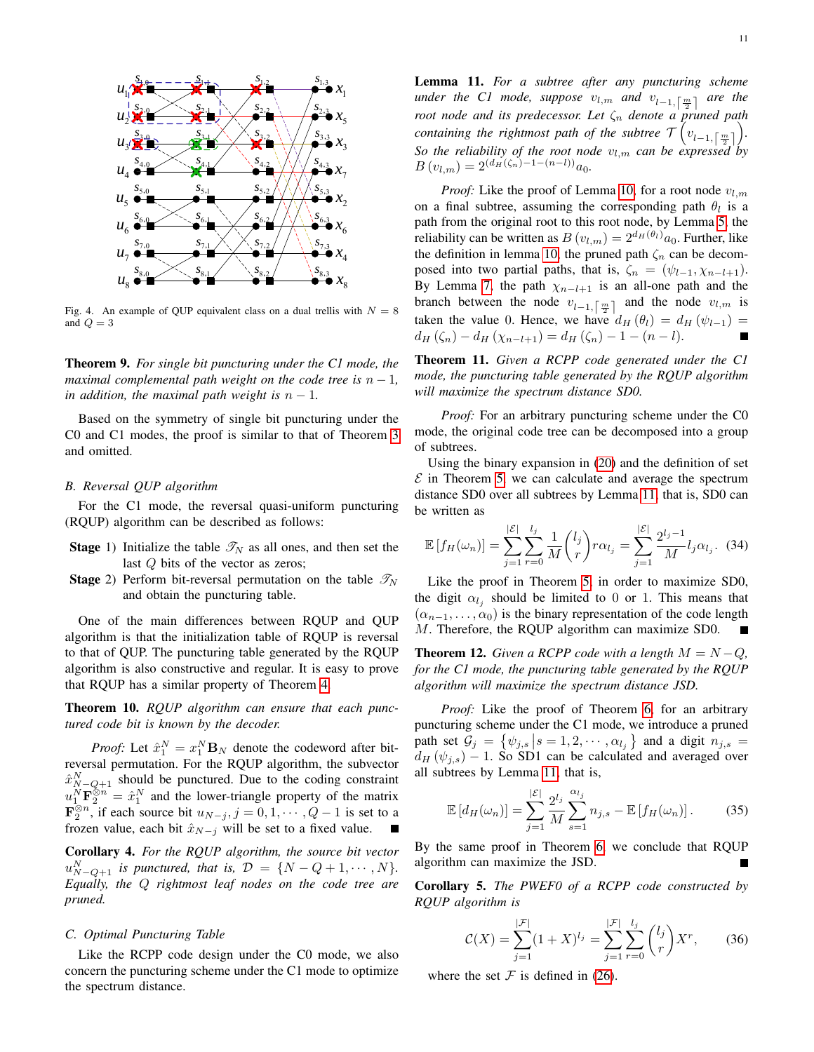

<span id="page-10-0"></span>Fig. 4. An example of QUP equivalent class on a dual trellis with  $N = 8$ and  $Q = 3$ 

Theorem 9. *For single bit puncturing under the C1 mode, the maximal complemental path weight on the code tree is*  $n - 1$ *, in addition, the maximal path weight is*  $n - 1$ *.* 

Based on the symmetry of single bit puncturing under the C0 and C1 modes, the proof is similar to that of Theorem [3](#page-6-2) and omitted.

#### *B. Reversal QUP algorithm*

For the C1 mode, the reversal quasi-uniform puncturing (RQUP) algorithm can be described as follows:

- **Stage** 1) Initialize the table  $\mathcal{T}_N$  as all ones, and then set the last Q bits of the vector as zeros;
- **Stage** 2) Perform bit-reversal permutation on the table  $\mathscr{T}_N$ and obtain the puncturing table.

One of the main differences between RQUP and QUP algorithm is that the initialization table of RQUP is reversal to that of QUP. The puncturing table generated by the RQUP algorithm is also constructive and regular. It is easy to prove that RQUP has a similar property of Theorem [4.](#page-6-5)

Theorem 10. *RQUP algorithm can ensure that each punctured code bit is known by the decoder.*

*Proof:* Let  $\hat{x}_1^N = x_1^N \mathbf{B}_N$  denote the codeword after bitreversal permutation. For the RQUP algorithm, the subvector  $\hat{x}_{N-Q+1}^N$  should be punctured. Due to the coding constraint  $u_1^N \mathbf{F}_2^{\otimes n} = \hat{x}_1^N$  and the lower-triangle property of the matrix  $\mathbf{F}_2^{\otimes n}$ , if each source bit  $u_{N-j}$ ,  $j = 0, 1, \cdots, Q-1$  is set to a frozen value, each bit  $\hat{x}_{N-j}$  will be set to a fixed value.  $\overline{\phantom{a}}$ 

Corollary 4. *For the RQUP algorithm, the source bit vector*  $u_{N-Q+1}^N$  *is punctured, that is,*  $D = \{N-Q+1, \cdots, N\}.$ *Equally, the* Q *rightmost leaf nodes on the code tree are pruned.*

## *C. Optimal Puncturing Table*

Like the RCPP code design under the C0 mode, we also concern the puncturing scheme under the C1 mode to optimize the spectrum distance.

<span id="page-10-1"></span>Lemma 11. *For a subtree after any puncturing scheme under the C1 mode, suppose*  $v_{l,m}$  and  $v_{l-1,\lceil \frac{m}{2} \rceil}$  are the *root node and its predecessor. Let* ζ<sup>n</sup> *denote a pruned path containing the rightmost path of the subtree*  $\tau\left(v_{l-1,\lceil \frac{m}{2} \rceil}\right)$ . *So the reliability of the root node*  $v_{l,m}$  *can be expressed by*  $B(v_{l,m}) = 2^{(d_H(\zeta_n)-1-(n-l))}a_0.$ 

*Proof:* Like the proof of Lemma [10,](#page-7-0) for a root node  $v_{l,m}$ on a final subtree, assuming the corresponding path  $\theta_l$  is a path from the original root to this root node, by Lemma [5,](#page-3-8) the reliability can be written as  $B(v_{l,m}) = 2^{d_H(\theta_l)}a_0$ . Further, like the definition in lemma [10,](#page-7-0) the pruned path  $\zeta_n$  can be decomposed into two partial paths, that is,  $\zeta_n = (\psi_{l-1}, \chi_{n-l+1}).$ By Lemma [7,](#page-4-6) the path  $\chi_{n-l+1}$  is an all-one path and the branch between the node  $v_{l-1,\lceil \frac{m}{2} \rceil}$  and the node  $v_{l,m}$  is taken the value 0. Hence, we have  $d_H(\theta_l) = d_H(\psi_{l-1}) =$  $d_H(\zeta_n) - d_H(\chi_{n-l+1}) = d_H(\zeta_n) - 1 - (n-l).$ 

Theorem 11. *Given a RCPP code generated under the C1 mode, the puncturing table generated by the RQUP algorithm will maximize the spectrum distance SD0.*

*Proof:* For an arbitrary puncturing scheme under the C0 mode, the original code tree can be decomposed into a group of subtrees.

Using the binary expansion in [\(20\)](#page-7-3) and the definition of set  $\mathcal E$  in Theorem [5,](#page-7-2) we can calculate and average the spectrum distance SD0 over all subtrees by Lemma [11,](#page-10-1) that is, SD0 can be written as

$$
\mathbb{E}[f_H(\omega_n)] = \sum_{j=1}^{|\mathcal{E}|} \sum_{r=0}^{l_j} \frac{1}{M} {l_j \choose r} r \alpha_{l_j} = \sum_{j=1}^{|\mathcal{E}|} \frac{2^{l_j - 1}}{M} l_j \alpha_{l_j}.
$$
 (34)

Like the proof in Theorem [5,](#page-7-2) in order to maximize SD0, the digit  $\alpha_{l_j}$  should be limited to 0 or 1. This means that  $(\alpha_{n-1}, \ldots, \alpha_0)$  is the binary representation of the code length M. Therefore, the RQUP algorithm can maximize SD0. Г

**Theorem 12.** *Given a RCPP code with a length*  $M = N - Q$ *, for the C1 mode, the puncturing table generated by the RQUP algorithm will maximize the spectrum distance JSD.*

*Proof:* Like the proof of Theorem [6,](#page-7-5) for an arbitrary puncturing scheme under the C1 mode, we introduce a pruned path set  $\mathcal{G}_j = \{ \psi_{j,s} | s = 1, 2, \cdots, \alpha_{l_j} \}$  and a digit  $n_{j,s} =$  $d_H(\psi_{j,s})$  – 1. So SD1 can be calculated and averaged over all subtrees by Lemma [11,](#page-10-1) that is,

$$
\mathbb{E}\left[d_H(\omega_n)\right] = \sum_{j=1}^{|\mathcal{E}|} \frac{2^{l_j}}{M} \sum_{s=1}^{\alpha_{l_j}} n_{j,s} - \mathbb{E}\left[f_H(\omega_n)\right]. \tag{35}
$$

By the same proof in Theorem [6,](#page-7-5) we conclude that RQUP algorithm can maximize the JSD.

Corollary 5. *The PWEF0 of a RCPP code constructed by RQUP algorithm is*

$$
\mathcal{C}(X) = \sum_{j=1}^{|\mathcal{F}|} (1+X)^{l_j} = \sum_{j=1}^{|\mathcal{F}|} \sum_{r=0}^{l_j} \binom{l_j}{r} X^r, \qquad (36)
$$

where the set  $\mathcal F$  is defined in [\(26\)](#page-8-2).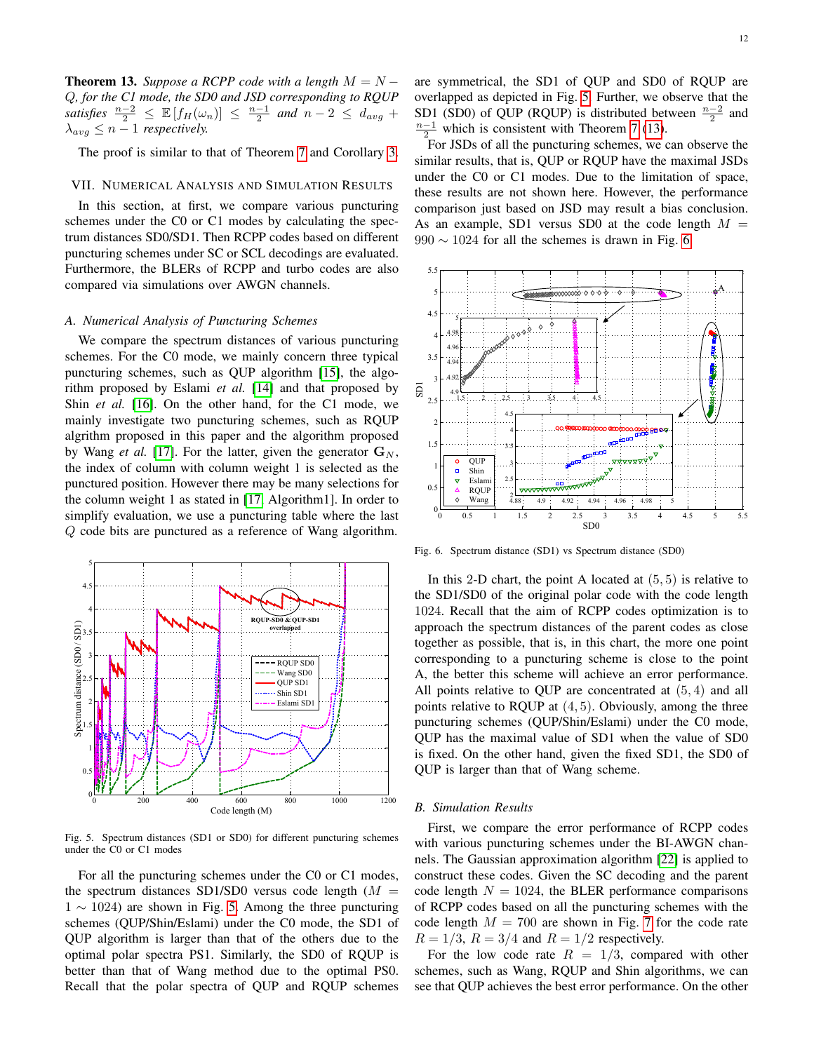<span id="page-11-2"></span>**Theorem 13.** *Suppose a RCPP code with a length*  $M = N -$ Q*, for the C1 mode, the SD0 and JSD corresponding to RQUP satisfies*  $\frac{n-2}{2} \leq \mathbb{E}[f_H(\omega_n)] \leq \frac{n-1}{2}$  and  $n-2 \leq d_{avg}$  +  $\lambda_{avg} \leq n-1$  *respectively.* 

The proof is similar to that of Theorem [7](#page-8-1) and Corollary [3.](#page-8-3)

## <span id="page-11-0"></span>VII. NUMERICAL ANALYSIS AND SIMULATION RESULTS

In this section, at first, we compare various puncturing schemes under the C0 or C1 modes by calculating the spectrum distances SD0/SD1. Then RCPP codes based on different puncturing schemes under SC or SCL decodings are evaluated. Furthermore, the BLERs of RCPP and turbo codes are also compared via simulations over AWGN channels.

# *A. Numerical Analysis of Puncturing Schemes*

We compare the spectrum distances of various puncturing schemes. For the C0 mode, we mainly concern three typical puncturing schemes, such as QUP algorithm [\[15\]](#page-14-7), the algorithm proposed by Eslami *et al.* [\[14\]](#page-14-4) and that proposed by Shin *et al.* [\[16\]](#page-14-5). On the other hand, for the C1 mode, we mainly investigate two puncturing schemes, such as RQUP algrithm proposed in this paper and the algorithm proposed by Wang *et al.* [\[17\]](#page-14-8). For the latter, given the generator  $\mathbf{G}_N$ , the index of column with column weight 1 is selected as the punctured position. However there may be many selections for the column weight 1 as stated in [\[17,](#page-14-8) Algorithm1]. In order to simplify evaluation, we use a puncturing table where the last Q code bits are punctured as a reference of Wang algorithm.



<span id="page-11-1"></span>Fig. 5. Spectrum distances (SD1 or SD0) for different puncturing schemes under the C0 or C1 modes

For all the puncturing schemes under the C0 or C1 modes, the spectrum distances SD1/SD0 versus code length  $(M =$  $1 \sim 1024$ ) are shown in Fig. [5.](#page-11-1) Among the three puncturing schemes (QUP/Shin/Eslami) under the C0 mode, the SD1 of QUP algorithm is larger than that of the others due to the optimal polar spectra PS1. Similarly, the SD0 of RQUP is better than that of Wang method due to the optimal PS0. Recall that the polar spectra of QUP and RQUP schemes

are symmetrical, the SD1 of QUP and SD0 of RQUP are overlapped as depicted in Fig. [5.](#page-11-1) Further, we observe that the SD1 (SD0) of QUP (RQUP) is distributed between  $\frac{n-2}{2}$  and  $\frac{n-1}{2}$  which is consistent with Theorem [7](#page-8-1) [\(13\)](#page-11-2).

For JSDs of all the puncturing schemes, we can observe the similar results, that is, QUP or RQUP have the maximal JSDs under the C0 or C1 modes. Due to the limitation of space, these results are not shown here. However, the performance comparison just based on JSD may result a bias conclusion. As an example, SD1 versus SD0 at the code length  $M =$  $990 \sim 1024$  for all the schemes is drawn in Fig. [6.](#page-11-3)



<span id="page-11-3"></span>Fig. 6. Spectrum distance (SD1) vs Spectrum distance (SD0)

In this 2-D chart, the point A located at  $(5, 5)$  is relative to the SD1/SD0 of the original polar code with the code length 1024. Recall that the aim of RCPP codes optimization is to approach the spectrum distances of the parent codes as close together as possible, that is, in this chart, the more one point corresponding to a puncturing scheme is close to the point A, the better this scheme will achieve an error performance. All points relative to QUP are concentrated at (5, 4) and all points relative to RQUP at  $(4, 5)$ . Obviously, among the three puncturing schemes (QUP/Shin/Eslami) under the C0 mode, QUP has the maximal value of SD1 when the value of SD0 is fixed. On the other hand, given the fixed SD1, the SD0 of QUP is larger than that of Wang scheme.

#### *B. Simulation Results*

First, we compare the error performance of RCPP codes with various puncturing schemes under the BI-AWGN channels. The Gaussian approximation algorithm [\[22\]](#page-14-22) is applied to construct these codes. Given the SC decoding and the parent code length  $N = 1024$ , the BLER performance comparisons of RCPP codes based on all the puncturing schemes with the code length  $M = 700$  $M = 700$  $M = 700$  are shown in Fig. 7 for the code rate  $R = 1/3$ ,  $R = 3/4$  and  $R = 1/2$  respectively.

For the low code rate  $R = 1/3$ , compared with other schemes, such as Wang, RQUP and Shin algorithms, we can see that QUP achieves the best error performance. On the other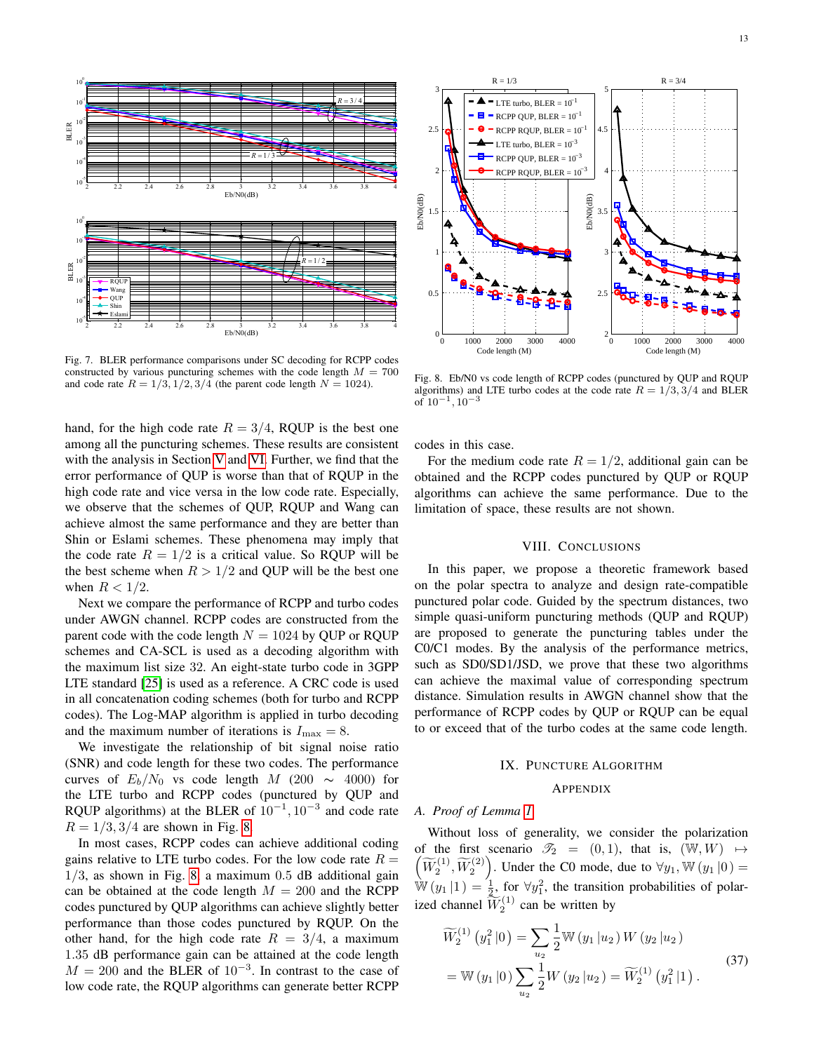

<span id="page-12-1"></span>Fig. 7. BLER performance comparisons under SC decoding for RCPP codes constructed by various puncturing schemes with the code length  $M = 700$ and code rate  $R = 1/3, 1/2, 3/4$  (the parent code length  $N = 1024$ ).

hand, for the high code rate  $R = 3/4$ , RQUP is the best one among all the puncturing schemes. These results are consistent with the analysis in Section [V](#page-6-0) and [VI.](#page-9-0) Further, we find that the error performance of QUP is worse than that of RQUP in the high code rate and vice versa in the low code rate. Especially, we observe that the schemes of QUP, RQUP and Wang can achieve almost the same performance and they are better than Shin or Eslami schemes. These phenomena may imply that the code rate  $R = 1/2$  is a critical value. So RQUP will be the best scheme when  $R > 1/2$  and QUP will be the best one when  $R < 1/2$ .

Next we compare the performance of RCPP and turbo codes under AWGN channel. RCPP codes are constructed from the parent code with the code length  $N = 1024$  by QUP or RQUP schemes and CA-SCL is used as a decoding algorithm with the maximum list size 32. An eight-state turbo code in 3GPP LTE standard [\[25\]](#page-14-23) is used as a reference. A CRC code is used in all concatenation coding schemes (both for turbo and RCPP codes). The Log-MAP algorithm is applied in turbo decoding and the maximum number of iterations is  $I_{\text{max}} = 8$ .

We investigate the relationship of bit signal noise ratio (SNR) and code length for these two codes. The performance curves of  $E_b/N_0$  vs code length M (200  $\sim$  4000) for the LTE turbo and RCPP codes (punctured by QUP and RQUP algorithms) at the BLER of  $10^{-1}$ ,  $10^{-3}$  and code rate  $R = 1/3, 3/4$  are shown in Fig. [8.](#page-12-2)

In most cases, RCPP codes can achieve additional coding gains relative to LTE turbo codes. For the low code rate  $R =$  $1/3$ , as shown in Fig. [8,](#page-12-2) a maximum  $0.5$  dB additional gain can be obtained at the code length  $M = 200$  and the RCPP codes punctured by QUP algorithms can achieve slightly better performance than those codes punctured by RQUP. On the other hand, for the high code rate  $R = 3/4$ , a maximum 1.35 dB performance gain can be attained at the code length  $M = 200$  and the BLER of  $10^{-3}$ . In contrast to the case of low code rate, the RQUP algorithms can generate better RCPP



<span id="page-12-2"></span>Fig. 8. Eb/N0 vs code length of RCPP codes (punctured by QUP and RQUP algorithms) and LTE turbo codes at the code rate  $R = 1/3, 3/4$  and BLER of 10−<sup>1</sup> , 10−<sup>3</sup>

codes in this case.

For the medium code rate  $R = 1/2$ , additional gain can be obtained and the RCPP codes punctured by QUP or RQUP algorithms can achieve the same performance. Due to the limitation of space, these results are not shown.

# VIII. CONCLUSIONS

<span id="page-12-0"></span>In this paper, we propose a theoretic framework based on the polar spectra to analyze and design rate-compatible punctured polar code. Guided by the spectrum distances, two simple quasi-uniform puncturing methods (QUP and RQUP) are proposed to generate the puncturing tables under the C0/C1 modes. By the analysis of the performance metrics, such as SD0/SD1/JSD, we prove that these two algorithms can achieve the maximal value of corresponding spectrum distance. Simulation results in AWGN channel show that the performance of RCPP codes by QUP or RQUP can be equal to or exceed that of the turbo codes at the same code length.

#### IX. PUNCTURE ALGORITHM

## APPENDIX

## *A. Proof of Lemma [1](#page-3-1)*

Without loss of generality, we consider the polarization  $(\widetilde{W}_2^{(1)}, \widetilde{W}_2^{(2)})$ . Under the C0 mode, due to  $\forall y_1, \mathbb{W}(y_1 | 0) =$ of the first scenario  $\mathcal{T}_2 = (0, 1)$ , that is,  $(\mathbb{W}, W) \mapsto$  $\dot{\mathbb{W}}(y_1 | 1) = \frac{1}{2}$ , for  $\forall y_1^2$ , the transition probabilities of polarized channel  $\widetilde{W}_2^{(1)}$  can be written by

$$
\widetilde{W}_2^{(1)}(y_1^2|0) = \sum_{u_2} \frac{1}{2} \mathbb{W}(y_1|u_2) W(y_2|u_2)
$$
  
=  $\mathbb{W}(y_1|0) \sum_{u_2} \frac{1}{2} W(y_2|u_2) = \widetilde{W}_2^{(1)}(y_1^2|1).$  (37)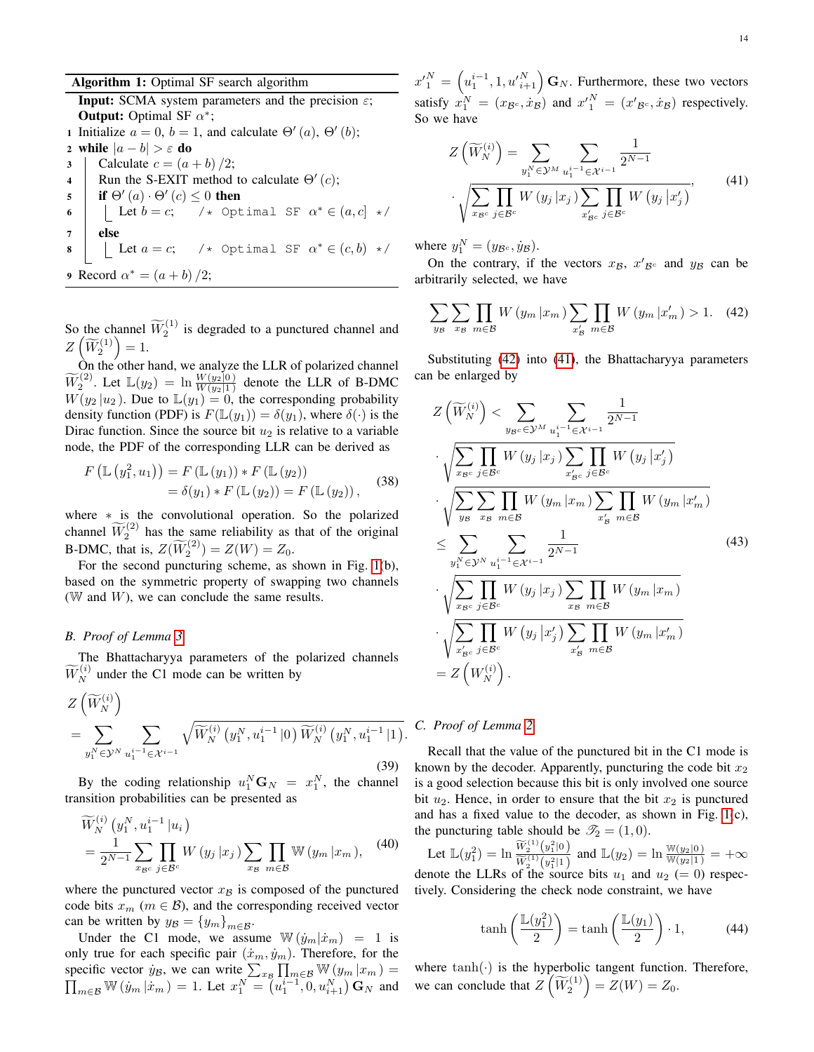# Algorithm 1: Optimal SF search algorithm

**Input:** SCMA system parameters and the precision  $\varepsilon$ ; **Output:** Optimal SF  $\alpha^*$ ; 1 Initialize  $a = 0$ ,  $b = 1$ , and calculate  $\Theta'(a)$ ,  $\Theta'(b)$ ; 2 while  $|a - b| > \varepsilon$  do  $3$  Calculate  $c = (a + b)/2$ ; 4 Run the S-EXIT method to calculate  $\Theta'(c)$ ; 5 if  $\Theta'(a) \cdot \Theta'(c) \leq 0$  then 6 | Let  $b = c$ ;  $\prime \star$  Optimal SF  $\alpha^* \in (a, c] \star \prime$  $7$  else 8 | Let  $a = c$ ; /\* Optimal SF  $\alpha^* \in (c, b)$  \*/ 9 Record  $\alpha^* = (a+b)/2;$ 

So the channel  $\widetilde{W}_2^{(1)}$  is degraded to a punctured channel and  $Z\left(\widetilde{W}_2^{(1)}\right)=1.$ 

On the other hand, we analyze the LLR of polarized channel  $\widetilde{W}_2^{(2)}$ . Let  $\mathbb{L}(y_2) = \ln \frac{W(y_2|0)}{W(y_2|1)}$  denote the LLR of B-DMC  $W(y_2 | u_2)$ . Due to  $\mathbb{L}(y_1) = 0$ , the corresponding probability density function (PDF) is  $F(\mathbb{L}(y_1)) = \delta(y_1)$ , where  $\delta(\cdot)$  is the Dirac function. Since the source bit  $u_2$  is relative to a variable node, the PDF of the corresponding LLR can be derived as

$$
F\left(\mathbb{L}\left(y_1^2, u_1\right)\right) = F\left(\mathbb{L}\left(y_1\right)\right) * F\left(\mathbb{L}\left(y_2\right)\right) = \delta(y_1) * F\left(\mathbb{L}\left(y_2\right)\right) = F\left(\mathbb{L}\left(y_2\right)\right),
$$
 (38)

where \* is the convolutional operation. So the polarized channel  $\widetilde{W}_2^{(2)}$  has the same reliability as that of the original **B-DMC**, that is,  $Z(\widetilde{W}_2^{(2)}) = Z(W) = Z_0$ .

For the second puncturing scheme, as shown in Fig. [1\(](#page-3-0)b), based on the symmetric property of swapping two channels ( $W$  and  $W$ ), we can conclude the same results.

# *B. Proof of Lemma [3](#page-3-4)*

The Bhattacharyya parameters of the polarized channels  $\widetilde{W}_N^{(i)}$  under the C1 mode can be written by

$$
Z\left(\widetilde{W}_{N}^{(i)}\right)
$$
  
= 
$$
\sum_{y_{1}^{N} \in \mathcal{Y}^{N}} \sum_{u_{1}^{i-1} \in \mathcal{X}^{i-1}} \sqrt{\widetilde{W}_{N}^{(i)}\left(y_{1}^{N}, u_{1}^{i-1} | 0\right) \widetilde{W}_{N}^{(i)}\left(y_{1}^{N}, u_{1}^{i-1} | 1\right)}.
$$
 (39)

By the coding relationship  $u_1^N \mathbf{G}_N = x_1^N$ , the channel transition probabilities can be presented as

$$
\widetilde{W}_{N}^{(i)}(y_{1}^{N}, u_{1}^{i-1}|u_{i})
$$
\n
$$
=\frac{1}{2^{N-1}}\sum_{x_{\mathcal{B}^{c}}} \prod_{j\in\mathcal{B}^{c}} W(y_{j}|x_{j}) \sum_{x_{\mathcal{B}}} \prod_{m\in\mathcal{B}} \mathbb{W}(y_{m}|x_{m}), \quad (40)
$$

where the punctured vector  $x_B$  is composed of the punctured code bits  $x_m$  ( $m \in B$ ), and the corresponding received vector can be written by  $y_{\mathcal{B}} = \{y_m\}_{m \in \mathcal{B}}$ .

Under the C1 mode, we assume  $\mathbb{W}(\dot{y}_m|\dot{x}_m) = 1$  is only true for each specific pair  $(\dot{x}_m, \dot{y}_m)$ . Therefore, for the specific vector  $\dot{y}_B$ , we can write  $\sum_{x_B} \prod_{m \in B} \mathbb{W}(y_m | x_m) =$  $\prod_{m \in \mathcal{B}} \mathbb{W}(y_m | \dot{x}_m) = 1$ . Let  $x_1^N = (u_1^{i-1}, 0, u_{i+1}^N) \mathbf{G}_N$  and  ${x'}_1^N = \left(u_1^{i-1}, 1, {u'}_{i+1}^N\right) \mathbf{G}_N$ . Furthermore, these two vectors satisfy  $x_1^N = (x_{\mathcal{B}^c}, \dot{x}_\mathcal{B})$  and  $x_1^N = (x_{\mathcal{B}^c}, \dot{x}_\mathcal{B})$  respectively. So we have

<span id="page-13-1"></span>
$$
Z\left(\widetilde{W}_{N}^{(i)}\right) = \sum_{y_{1}^{N} \in \mathcal{Y}^{M}} \sum_{u_{1}^{i-1} \in \mathcal{X}^{i-1}} \frac{1}{2^{N-1}}
$$

$$
\cdot \sqrt{\sum_{x_{\mathcal{B}^{c}}} \prod_{j \in \mathcal{B}^{c}} W\left(y_{j} \mid x_{j}\right) \sum_{x_{\mathcal{B}^{c}}} \prod_{j \in \mathcal{B}^{c}} W\left(y_{j} \mid x_{j}'\right)},\tag{41}
$$

where  $y_1^N = (y_{\mathcal{B}^c}, \dot{y}_{\mathcal{B}})$ .

On the contrary, if the vectors  $x_{\mathcal{B}}$ ,  $x'_{\mathcal{B}^c}$  and  $y_{\mathcal{B}}$  can be arbitrarily selected, we have

<span id="page-13-0"></span>
$$
\sum_{y_{\mathcal{B}}} \sum_{x_{\mathcal{B}}} \prod_{m \in \mathcal{B}} W(y_m | x_m) \sum_{x'_{\mathcal{B}}} \prod_{m \in \mathcal{B}} W(y_m | x'_m) > 1. \tag{42}
$$

Substituting [\(42\)](#page-13-0) into [\(41\)](#page-13-1), the Bhattacharyya parameters can be enlarged by

$$
Z\left(\widetilde{W}_{N}^{(i)}\right) < \sum_{y_{B}c \in \mathcal{Y}^{M}} \sum_{u_{1}^{i-1} \in \mathcal{X}^{i-1}} \frac{1}{2^{N-1}}
$$
\n
$$
\sqrt{\sum_{x_{B}c} \prod_{j \in B^{c}} W\left(y_{j} | x_{j}\right) \sum_{x_{B}^{'} \in \mathcal{B}^{c}} \prod_{j \in B^{c}} W\left(y_{j} | x_{j}^{'}\right)}
$$
\n
$$
\sqrt{\sum_{y_{B}} \sum_{x_{B}} \prod_{m \in \mathcal{B}} W\left(y_{m} | x_{m}\right) \sum_{x_{B}^{'} \in \mathcal{B}} \prod_{m \in \mathcal{B}} W\left(y_{m} | x_{m}^{'}\right)}
$$
\n
$$
\leq \sum_{y_{1}^{N} \in \mathcal{Y}^{N}} \sum_{u_{1}^{i-1} \in \mathcal{X}^{i-1}} \frac{1}{2^{N-1}}
$$
\n
$$
\sqrt{\sum_{x_{B}c} \prod_{j \in B^{c}} W\left(y_{j} | x_{j}\right) \sum_{x_{B}} \prod_{m \in \mathcal{B}} W\left(y_{m} | x_{m}\right)}
$$
\n
$$
\sqrt{\sum_{x_{B}^{'} c} \prod_{j \in B^{c}} W\left(y_{j} | x_{j}^{'}\right) \sum_{x_{B}^{'} \in \mathcal{B}} \prod_{m \in \mathcal{B}} W\left(y_{m} | x_{m}^{'}\right)}
$$
\n
$$
= Z\left(W_{N}^{(i)}\right).
$$
\n
$$
(43)
$$

# *C. Proof of Lemma [2](#page-3-2)*

Recall that the value of the punctured bit in the C1 mode is known by the decoder. Apparently, puncturing the code bit  $x_2$ is a good selection because this bit is only involved one source bit  $u_2$ . Hence, in order to ensure that the bit  $x_2$  is punctured and has a fixed value to the decoder, as shown in Fig. [1\(](#page-3-0)c), the puncturing table should be  $\mathcal{T}_2 = (1, 0)$ .

Let  $\mathbb{L}(y_1^2) = \ln \frac{\widetilde{W}_2^{(1)}(y_1^2|0)}{\widetilde{W}^{(1)}(y_1^2|1)}$  $\frac{W_2^{(1)}(y_1^2|0)}{\widetilde{W}_2^{(1)}(y_1^2|1)}$  and  $\mathbb{L}(y_2) = \ln \frac{\mathbb{W}(y_2|0)}{\mathbb{W}(y_2|1)} = +\infty$ denote the LLRs of the source bits  $u_1$  and  $u_2 (= 0)$  respectively. Considering the check node constraint, we have

$$
\tanh\left(\frac{\mathbb{L}(y_1^2)}{2}\right) = \tanh\left(\frac{\mathbb{L}(y_1)}{2}\right) \cdot 1,\tag{44}
$$

where  $tanh(\cdot)$  is the hyperbolic tangent function. Therefore, we can conclude that  $Z\left(\widetilde{W}_2^{(1)}\right) = Z(W) = Z_0$ .